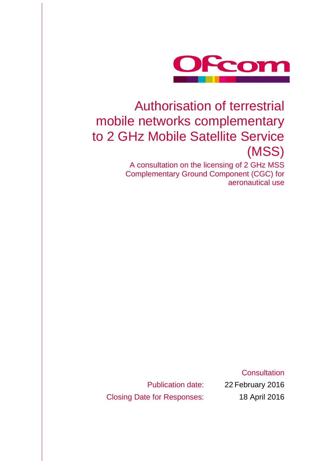

# Authorisation of terrestrial mobile networks complementary to 2 GHz Mobile Satellite Service (MSS)

A consultation on the licensing of 2 GHz MSS Complementary Ground Component (CGC) for aeronautical use

Publication date: 22 February 2016 Closing Date for Responses: 18 April 2016

**Consultation**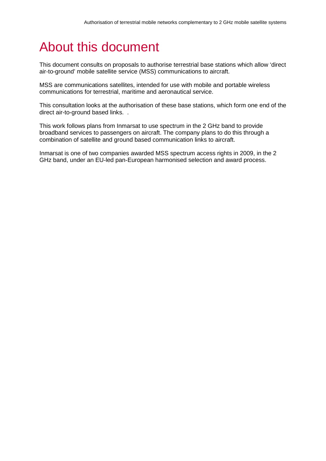# About this document

This document consults on proposals to authorise terrestrial base stations which allow 'direct air-to-ground' mobile satellite service (MSS) communications to aircraft.

MSS are communications satellites, intended for use with mobile and portable wireless communications for terrestrial, maritime and aeronautical service.

This consultation looks at the authorisation of these base stations, which form one end of the direct air-to-ground based links. .

This work follows plans from Inmarsat to use spectrum in the 2 GHz band to provide broadband services to passengers on aircraft. The company plans to do this through a combination of satellite and ground based communication links to aircraft.

Inmarsat is one of two companies awarded MSS spectrum access rights in 2009, in the 2 GHz band, under an EU-led pan-European harmonised selection and award process.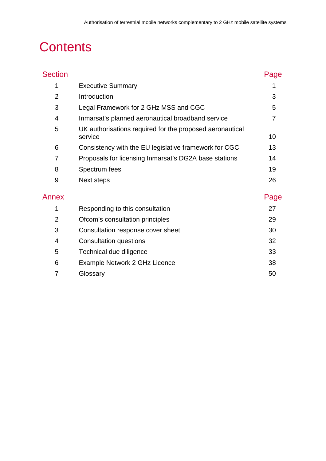# **Contents**

| <b>Section</b> |                                                                     | Page           |
|----------------|---------------------------------------------------------------------|----------------|
| 1              | <b>Executive Summary</b>                                            |                |
| $\overline{2}$ | Introduction                                                        | 3              |
| 3              | Legal Framework for 2 GHz MSS and CGC                               | 5              |
| 4              | Inmarsat's planned aeronautical broadband service                   | $\overline{7}$ |
| 5              | UK authorisations required for the proposed aeronautical<br>service | 10             |
| 6              | Consistency with the EU legislative framework for CGC               | 13             |
| 7              | Proposals for licensing Inmarsat's DG2A base stations               | 14             |
| 8              | Spectrum fees                                                       | 19             |
| 9              | Next steps                                                          | 26             |
| Annex          |                                                                     | Page           |
| 1              | Responding to this consultation                                     | 27             |
| $\overline{2}$ | Ofcom's consultation principles                                     | 29             |
| 3              | Consultation response cover sheet                                   | 30             |
| 4              | <b>Consultation questions</b>                                       | 32             |
| 5              | Technical due diligence                                             | 33             |
| 6              | Example Network 2 GHz Licence                                       | 38             |
| 7              | Glossary                                                            | 50             |
|                |                                                                     |                |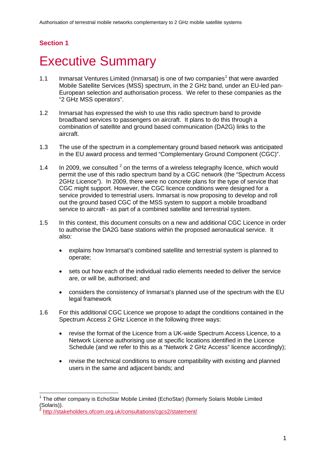## **Section 1**

# <span id="page-4-0"></span>**Executive Summary**

- [1](#page-4-1).1 Inmarsat Ventures Limited (Inmarsat) is one of two companies<sup>1</sup> that were awarded Mobile Satellite Services (MSS) spectrum, in the 2 GHz band, under an EU-led pan-European selection and authorisation process. We refer to these companies as the "2 GHz MSS operators".
- 1.2 Inmarsat has expressed the wish to use this radio spectrum band to provide broadband services to passengers on aircraft. It plans to do this through a combination of satellite and ground based communication (DA2G) links to the aircraft.
- 1.3 The use of the spectrum in a complementary ground based network was anticipated in the EU award process and termed "Complementary Ground Component (CGC)".
- 1.4 In [2](#page-4-2)009, we consulted  $2$  on the terms of a wireless telegraphy licence, which would permit the use of this radio spectrum band by a CGC network (the "Spectrum Access 2GHz Licence"). In 2009, there were no concrete plans for the type of service that CGC might support. However, the CGC licence conditions were designed for a service provided to terrestrial users. Inmarsat is now proposing to develop and roll out the ground based CGC of the MSS system to support a mobile broadband service to aircraft - as part of a combined satellite and terrestrial system.
- 1.5 In this context, this document consults on a new and additional CGC Licence in order to authorise the DA2G base stations within the proposed aeronautical service. It also:
	- explains how Inmarsat's combined satellite and terrestrial system is planned to operate;
	- sets out how each of the individual radio elements needed to deliver the service are, or will be, authorised; and
	- considers the consistency of Inmarsat's planned use of the spectrum with the EU legal framework
- 1.6 For this additional CGC Licence we propose to adapt the conditions contained in the Spectrum Access 2 GHz Licence in the following three ways:
	- revise the format of the Licence from a UK-wide Spectrum Access Licence, to a Network Licence authorising use at specific locations identified in the Licence Schedule (and we refer to this as a "Network 2 GHz Access" licence accordingly);
	- revise the technical conditions to ensure compatibility with existing and planned users in the same and adjacent bands; and

<span id="page-4-1"></span><sup>1</sup> The other company is EchoStar Mobile Limited (EchoStar) (formerly Solaris Mobile Limited (Solaris)).  $\overline{a}$ 

<span id="page-4-2"></span><http://stakeholders.ofcom.org.uk/consultations/cgcs2/statement/>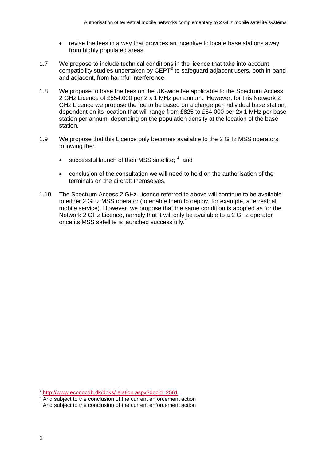- revise the fees in a way that provides an incentive to locate base stations away from highly populated areas.
- 1.7 We propose to include technical conditions in the licence that take into account compatibility studies undertaken by  $CEPT<sup>3</sup>$  $CEPT<sup>3</sup>$  $CEPT<sup>3</sup>$  to safeguard adjacent users, both in-band and adjacent, from harmful interference.
- 1.8 We propose to base the fees on the UK-wide fee applicable to the Spectrum Access 2 GHz Licence of £554,000 per 2 x 1 MHz per annum. However, for this Network 2 GHz Licence we propose the fee to be based on a charge per individual base station, dependent on its location that will range from £825 to £64,000 per 2x 1 MHz per base station per annum, depending on the population density at the location of the base station.
- 1.9 We propose that this Licence only becomes available to the 2 GHz MSS operators following the:
	- successful launch of their MSS satellite:  $4$  and
	- conclusion of the consultation we will need to hold on the authorisation of the terminals on the aircraft themselves.
- 1.10 The Spectrum Access 2 GHz Licence referred to above will continue to be available to either 2 GHz MSS operator (to enable them to deploy, for example, a terrestrial mobile service). However, we propose that the same condition is adopted as for the Network 2 GHz Licence, namely that it will only be available to a 2 GHz operator once its MSS satellite is launched successfully.<sup>[5](#page-5-2)</sup>

<sup>&</sup>lt;sup>3</sup> <http://www.ecodocdb.dk/doks/relation.aspx?docid=2561>  $\overline{a}$ 

<span id="page-5-1"></span><span id="page-5-0"></span><sup>4</sup> And subject to the conclusion of the current enforcement action

<span id="page-5-2"></span><sup>&</sup>lt;sup>5</sup> And subject to the conclusion of the current enforcement action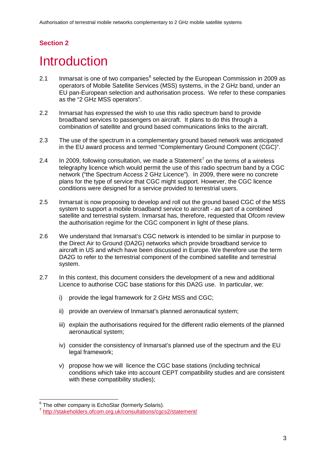# **Section 2**

# <span id="page-6-0"></span>**Introduction**

- 2.1 Inmarsat is one of two companies<sup> $6$ </sup> selected by the European Commission in 2009 as operators of Mobile Satellite Services (MSS) systems, in the 2 GHz band, under an EU pan-European selection and authorisation process. We refer to these companies as the "2 GHz MSS operators".
- 2.2 Inmarsat has expressed the wish to use this radio spectrum band to provide broadband services to passengers on aircraft. It plans to do this through a combination of satellite and ground based communications links to the aircraft.
- 2.3 The use of the spectrum in a complementary ground based network was anticipated in the EU award process and termed "Complementary Ground Component (CGC)".
- 2.4 In 2009, following consultation, we made a Statement<sup>[7](#page-6-2)</sup> on the terms of a wireless telegraphy licence which would permit the use of this radio spectrum band by a CGC network ("the Spectrum Access 2 GHz Licence"). In 2009, there were no concrete plans for the type of service that CGC might support. However, the CGC licence conditions were designed for a service provided to terrestrial users.
- 2.5 Inmarsat is now proposing to develop and roll out the ground based CGC of the MSS system to support a mobile broadband service to aircraft - as part of a combined satellite and terrestrial system. Inmarsat has, therefore, requested that Ofcom review the authorisation regime for the CGC component in light of these plans.
- 2.6 We understand that Inmarsat's CGC network is intended to be similar in purpose to the Direct Air to Ground (DA2G) networks which provide broadband service to aircraft in US and which have been discussed in Europe. We therefore use the term DA2G to refer to the terrestrial component of the combined satellite and terrestrial system.
- 2.7 In this context, this document considers the development of a new and additional Licence to authorise CGC base stations for this DA2G use. In particular, we:
	- i) provide the legal framework for 2 GHz MSS and CGC;
	- ii) provide an overview of Inmarsat's planned aeronautical system;
	- iii) explain the authorisations required for the different radio elements of the planned aeronautical system;
	- iv) consider the consistency of Inmarsat's planned use of the spectrum and the EU legal framework;
	- v) propose how we will licence the CGC base stations (including technical conditions which take into account CEPT compatibility studies and are consistent with these compatibility studies);

<span id="page-6-1"></span> $6$  The other company is EchoStar (formerly Solaris).

<span id="page-6-2"></span><http://stakeholders.ofcom.org.uk/consultations/cgcs2/statement/>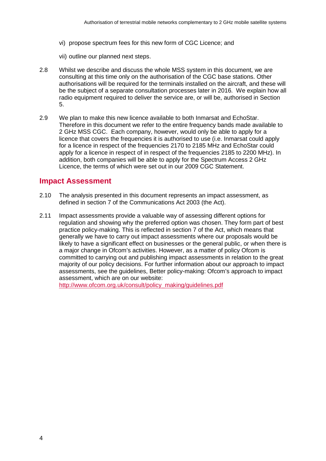- vi) propose spectrum fees for this new form of CGC Licence; and
- vii) outline our planned next steps.
- 2.8 Whilst we describe and discuss the whole MSS system in this document, we are consulting at this time only on the authorisation of the CGC base stations. Other authorisations will be required for the terminals installed on the aircraft, and these will be the subject of a separate consultation processes later in 2016. We explain how all radio equipment required to deliver the service are, or will be, authorised in [Section](#page-13-1)  [5.](#page-13-1)
- 2.9 We plan to make this new licence available to both Inmarsat and EchoStar. Therefore in this document we refer to the entire frequency bands made available to 2 GHz MSS CGC. Each company, however, would only be able to apply for a licence that covers the frequencies it is authorised to use (i.e. Inmarsat could apply for a licence in respect of the frequencies 2170 to 2185 MHz and EchoStar could apply for a licence in respect of in respect of the frequencies 2185 to 2200 MHz). In addition, both companies will be able to apply for the Spectrum Access 2 GHz Licence, the terms of which were set out in our 2009 CGC Statement.

## **Impact Assessment**

- 2.10 The analysis presented in this document represents an impact assessment, as defined in section 7 of the Communications Act 2003 (the Act).
- 2.11 Impact assessments provide a valuable way of assessing different options for regulation and showing why the preferred option was chosen. They form part of best practice policy-making. This is reflected in section 7 of the Act, which means that generally we have to carry out impact assessments where our proposals would be likely to have a significant effect on businesses or the general public, or when there is a major change in Ofcom's activities. However, as a matter of policy Ofcom is committed to carrying out and publishing impact assessments in relation to the great majority of our policy decisions. For further information about our approach to impact assessments, see the guidelines, Better policy-making: Ofcom's approach to impact assessment, which are on our website:

http://www.ofcom.org.uk/consult/policy\_making/guidelines.pdf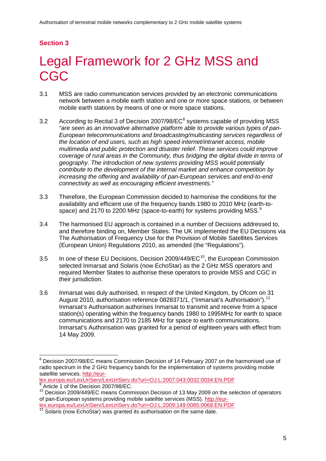# <span id="page-8-5"></span>**Section 3**

# <span id="page-8-0"></span>Legal Framework for 2 GHz MSS and CGC.

- 3.1 MSS are radio communication services provided by an electronic communications network between a mobile earth station and one or more space stations, or between mobile earth stations by means of one or more space stations.
- 3.2 According to Recital 3 of Decision 2007/9[8](#page-8-1)/EC<sup>8</sup> systems capable of providing MSS *"are seen as an innovative alternative platform able to provide various types of pan-European telecommunications and broadcasting/multicasting services regardless of the location of end users, such as high speed internet/intranet access, mobile multimedia and public protection and disaster relief. These services could improve coverage of rural areas in the Community, thus bridging the digital divide in terms of geography. The introduction of new systems providing MSS would potentially contribute to the development of the internal market and enhance competition by increasing the offering and availability of pan-European services and end-to-end connectivity as well as encouraging efficient investments."*
- <span id="page-8-6"></span>3.3 Therefore, the European Commission decided to harmonise the conditions for the availability and efficient use of the frequency bands 1980 to 2010 MHz (earth-to-space) and 2170 to 2200 MHz (space-to-earth) for systems providing MSS.<sup>[9](#page-8-2)</sup>
- 3.4 The harmonised EU approach is contained in a number of Decisions addressed to, and therefore binding on, Member States. The UK implemented the EU Decisions via The Authorisation of Frequency Use for the Provision of Mobile Satellites Services (European Union) Regulations 2010, as amended (the "Regulations").
- 3.5 In one of these EU Decisions, Decision 2009/449/ $EC^{10}$ , the European Commission selected Inmarsat and Solaris (now EchoStar) as the 2 GHz MSS operators and required Member States to authorise these operators to provide MSS and CGC in their jurisdiction.
- 3.6 Inmarsat was duly authorised, in respect of the United Kingdom, by Ofcom on 31 August 2010, authorisation reference 0828371/1, ("Inmarsat's Authorisation").<sup>[11](#page-8-4)</sup> Inmarsat's Authorisation authorises Inmarsat to transmit and receive from a space station(s) operating within the frequency bands 1980 to 1995MHz for earth to space communications and 2170 to 2185 MHz for space to earth communications. Inmarsat's Authorisation was granted for a period of eighteen years with effect from 14 May 2009.

[lex.europa.eu/LexUriServ/LexUriServ.do?uri=OJ:L:2007:043:0032:0034:EN:PDF](http://eur-lex.europa.eu/LexUriServ/LexUriServ.do?uri=OJ:L:2007:043:0032:0034:EN:PDF)

<span id="page-8-1"></span> $8$  Decision 2007/98/EC means Commission Decision of 14 February 2007 on the harmonised use of radio spectrum in the 2 GHz frequency bands for the implementation of systems providing mobile satellite services. [http://eur-](http://eur-lex.europa.eu/LexUriServ/LexUriServ.do?uri=OJ:L:2007:043:0032:0034:EN:PDF) $\overline{a}$ 

Article 1 of the Decision 2007/98/EC.

<span id="page-8-3"></span><span id="page-8-2"></span><sup>10</sup> Decision 2009/449/EC means Commission Decision of 13 May 2009 on the selection of operators of pan-European systems providing mobile satellite services (MSS). [http://eur](http://eur-lex.europa.eu/LexUriServ/LexUriServ.do?uri=OJ:L:2009:149:0065:0068:EN:PDF)[lex.europa.eu/LexUriServ/LexUriServ.do?uri=OJ:L:2009:149:0065:0068:EN:PDF](http://eur-lex.europa.eu/LexUriServ/LexUriServ.do?uri=OJ:L:2009:149:0065:0068:EN:PDF)

<span id="page-8-4"></span>Solaris (now EchoStar) was granted its authorisation on the same date.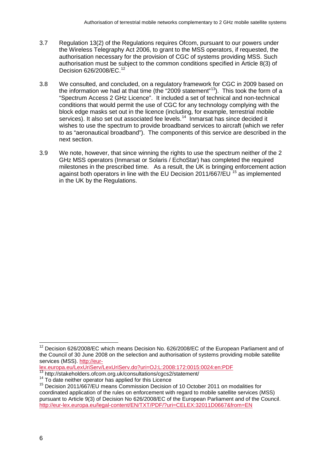- <span id="page-9-4"></span>3.7 Regulation 13(2) of the Regulations requires Ofcom, pursuant to our powers under the Wireless Telegraphy Act 2006, to grant to the MSS operators, if requested, the authorisation necessary for the provision of CGC of systems providing MSS. Such authorisation must be subject to the common conditions specified in Article 8(3) of Decision 626/2008/EC.<sup>[12](#page-9-0)</sup>
- 3.8 We consulted, and concluded, on a regulatory framework for CGC in 2009 based on the information we had at that time (the "2009 statement"<sup>[13](#page-9-1)</sup>). This took the form of a "Spectrum Access 2 GHz Licence". It included a set of technical and non-technical conditions that would permit the use of CGC for any technology complying with the block edge masks set out in the licence (including, for example, terrestrial mobile services). It also set out associated fee levels.<sup>14</sup> Inmarsat has since decided it wishes to use the spectrum to provide broadband services to aircraft (which we refer to as "aeronautical broadband"). The components of this service are described in the next section.
- 3.9 We note, however, that since winning the rights to use the spectrum neither of the 2 GHz MSS operators (Inmarsat or Solaris / EchoStar) has completed the required milestones in the prescribed time. As a result, the UK is bringing enforcement action against both operators in line with the EU Decision 2011/667/EU <sup>[15](#page-9-3)</sup> as implemented in the UK by the Regulations.

[lex.europa.eu/LexUriServ/LexUriServ.do?uri=OJ:L:2008:172:0015:0024:en:PDF](http://eur-lex.europa.eu/LexUriServ/LexUriServ.do?uri=OJ:L:2008:172:0015:0024:en:PDF)

<span id="page-9-0"></span> $12$  Decision 626/2008/EC which means Decision No. 626/2008/EC of the European Parliament and of the Council of 30 June 2008 on the selection and authorisation of systems providing mobile satellite services (MSS). [http://eur-](http://eur-lex.europa.eu/LexUriServ/LexUriServ.do?uri=OJ:L:2008:172:0015:0024:en:PDF) $\overline{a}$ 

<span id="page-9-3"></span>

<span id="page-9-2"></span><span id="page-9-1"></span><sup>&</sup>lt;sup>13</sup> http://stakeholders.ofcom.org.uk/consultations/cgcs2/statement/<br><sup>14</sup> To date neither operator has applied for this Licence<br><sup>15</sup> Decision 2011/667/EU means Commission Decision of 10 October 2011 on modalities for coordinated application of the rules on enforcement with regard to mobile satellite services (MSS) pursuant to Article 9(3) of Decision No 626/2008/EC of the European Parliament and of the Council. <http://eur-lex.europa.eu/legal-content/EN/TXT/PDF/?uri=CELEX:32011D0667&from=EN>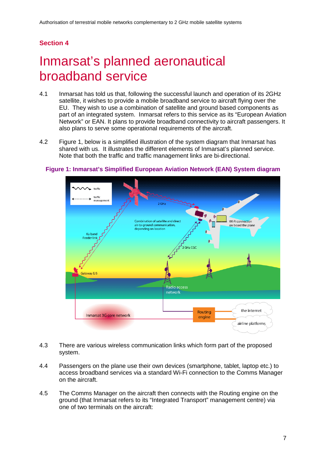## **Section 4**

# <span id="page-10-0"></span>Inmarsat's planned aeronautical broadband service

- 4.1 Inmarsat has told us that, following the successful launch and operation of its 2GHz satellite, it wishes to provide a mobile broadband service to aircraft flying over the EU. They wish to use a combination of satellite and ground based components as part of an integrated system. Inmarsat refers to this service as its "European Aviation Network" or EAN. It plans to provide broadband connectivity to aircraft passengers. It also plans to serve some operational requirements of the aircraft.
- 4.2 [Figure 1,](#page-10-1) below is a simplified illustration of the system diagram that Inmarsat has shared with us. It illustrates the different elements of Inmarsat's planned service. Note that both the traffic and traffic management links are bi-directional.



#### <span id="page-10-1"></span>**Figure 1: Inmarsat's Simplified European Aviation Network (EAN) System diagram**

- 4.3 There are various wireless communication links which form part of the proposed system.
- 4.4 Passengers on the plane use their own devices (smartphone, tablet, laptop etc.) to access broadband services via a standard Wi-Fi connection to the Comms Manager on the aircraft.
- 4.5 The Comms Manager on the aircraft then connects with the Routing engine on the ground (that Inmarsat refers to its "Integrated Transport" management centre) via one of two terminals on the aircraft: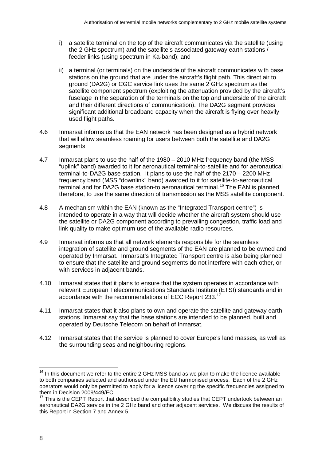- i) a satellite terminal on the top of the aircraft communicates via the satellite (using the 2 GHz spectrum) and the satellite's associated gateway earth stations / feeder links (using spectrum in Ka-band); and
- ii) a terminal (or terminals) on the underside of the aircraft communicates with base stations on the ground that are under the aircraft's flight path. This direct air to ground (DA2G) or CGC service link uses the same 2 GHz spectrum as the satellite component spectrum (exploiting the attenuation provided by the aircraft's fuselage in the separation of the terminals on the top and underside of the aircraft and their different directions of communication). The DA2G segment provides significant additional broadband capacity when the aircraft is flying over heavily used flight paths.
- <span id="page-11-2"></span>4.6 Inmarsat informs us that the EAN network has been designed as a hybrid network that will allow seamless roaming for users between both the satellite and DA2G segments.
- 4.7 Inmarsat plans to use the half of the 1980 2010 MHz frequency band (the MSS "uplink" band) awarded to it for aeronautical terminal-to-satellite and for aeronautical terminal-to-DA2G base station. It plans to use the half of the 2170 – 2200 MHz frequency band (MSS "downlink" band) awarded to it for satellite-to-aeronautical terminal and for DA2G base station-to aeronautical terminal. [16](#page-11-0) The EAN is planned, therefore, to use the same direction of transmission as the MSS satellite component.
- 4.8 A mechanism within the EAN (known as the "Integrated Transport centre") is intended to operate in a way that will decide whether the aircraft system should use the satellite or DA2G component according to prevailing congestion, traffic load and link quality to make optimum use of the available radio resources.
- 4.9 Inmarsat informs us that all network elements responsible for the seamless integration of satellite and ground segments of the EAN are planned to be owned and operated by Inmarsat. Inmarsat's Integrated Transport centre is also being planned to ensure that the satellite and ground segments do not interfere with each other, or with services in adjacent bands.
- 4.10 Inmarsat states that it plans to ensure that the system operates in accordance with relevant European Telecommunications Standards Institute (ETSI) standards and in accordance with the recommendations of ECC Report 233.<sup>17</sup>
- <span id="page-11-3"></span>4.11 Inmarsat states that it also plans to own and operate the satellite and gateway earth stations. Inmarsat say that the base stations are intended to be planned, built and operated by Deutsche Telecom on behalf of Inmarsat.
- 4.12 Inmarsat states that the service is planned to cover Europe's land masses, as well as the surrounding seas and neighbouring regions.

 $\overline{a}$ 

<span id="page-11-0"></span> $16$  In this document we refer to the entire 2 GHz MSS band as we plan to make the licence available to both companies selected and authorised under the EU harmonised process. Each of the 2 GHz operators would only be permitted to apply for a licence covering the specific frequencies assigned to them in Decision 2009/449/EC.

<span id="page-11-1"></span> $17$  This is the CEPT Report that described the compatibility studies that CEPT undertook between an aeronautical DA2G service in the 2 GHz band and other adjacent services. We discuss the results of this Report in [Section 7](#page-17-1) and [Annex](#page-36-1) 5.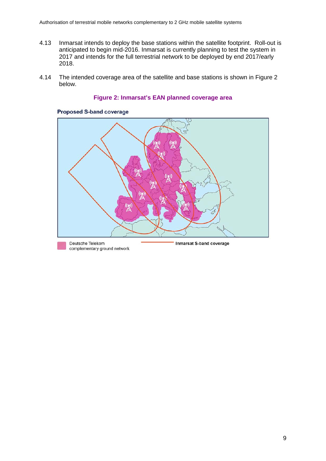- 4.13 Inmarsat intends to deploy the base stations within the satellite footprint. Roll-out is anticipated to begin mid-2016. Inmarsat is currently planning to test the system in 2017 and intends for the full terrestrial network to be deployed by end 2017/early 2018.
- <span id="page-12-0"></span>4.14 The intended coverage area of the satellite and base stations is shown in [Figure 2](#page-12-0) below.

#### **Figure 2: Inmarsat's EAN planned coverage area**



#### **Proposed S-band coverage**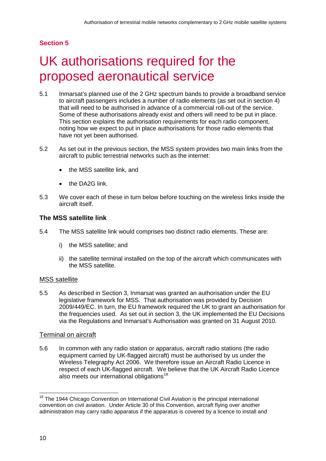# <span id="page-13-1"></span>**Section 5**

# <span id="page-13-0"></span>UK authorisations required for the proposed aeronautical service

- 5.1 Inmarsat's planned use of the 2 GHz spectrum bands to provide a broadband service to aircraft passengers includes a number of radio elements (as set out in section 4) that will need to be authorised in advance of a commercial roll-out of the service. Some of these authorisations already exist and others will need to be put in place. This section explains the authorisation requirements for each radio component, noting how we expect to put in place authorisations for those radio elements that have not yet been authorised.
- 5.2 As set out in the previous section, the MSS system provides two main links from the aircraft to public terrestrial networks such as the internet:
	- the MSS satellite link, and
	- the DA2G link.
- 5.3 We cover each of these in turn below before touching on the wireless links inside the aircraft itself.

## **The MSS satellite link**

- 5.4 The MSS satellite link would comprises two distinct radio elements. These are:
	- i) the MSS satellite; and
	- ii) the satellite terminal installed on the top of the aircraft which communicates with the MSS satellite.

## MSS satellite

5.5 As described in [Section 3,](#page-8-5) Inmarsat was granted an authorisation under the EU legislative framework for MSS. That authorisation was provided by Decision 2009/449/EC. In turn, the EU framework required the UK to grant an authorisation for the frequencies used. As set out in section 3, the UK implemented the EU Decisions via the Regulations and Inmarsat's Authorisation was granted on 31 August 2010.

## Terminal on aircraft

5.6 In common with any radio station or apparatus, aircraft radio stations (the radio equipment carried by UK-flagged aircraft) must be authorised by us under the Wireless Telegraphy Act 2006. We therefore issue an Aircraft Radio Licence in respect of each UK-flagged aircraft. We believe that the UK Aircraft Radio Licence also meets our international obligations<sup>[18](#page-13-2)</sup>

<span id="page-13-2"></span><sup>&</sup>lt;sup>18</sup> The 1944 Chicago Convention on International Civil Aviation is the principal international convention on civil aviation. Under Article 30 of this Convention, aircraft flying over another administration may carry radio apparatus if the apparatus is covered by a licence to install and  $\overline{a}$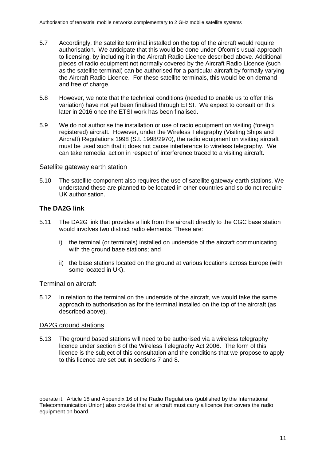- 5.7 Accordingly, the satellite terminal installed on the top of the aircraft would require authorisation. We anticipate that this would be done under Ofcom's usual approach to licensing, by including it in the Aircraft Radio Licence described above. Additional pieces of radio equipment not normally covered by the Aircraft Radio Licence (such as the satellite terminal) can be authorised for a particular aircraft by formally varying the Aircraft Radio Licence. For these satellite terminals, this would be on demand and free of charge.
- 5.8 However, we note that the technical conditions (needed to enable us to offer this variation) have not yet been finalised through ETSI. We expect to consult on this later in 2016 once the ETSI work has been finalised.
- 5.9 We do not authorise the installation or use of radio equipment on visiting (foreign registered) aircraft. However, under the Wireless Telegraphy (Visiting Ships and Aircraft) Regulations 1998 (S.I. 1998/2970), the radio equipment on visiting aircraft must be used such that it does not cause interference to wireless telegraphy. We can take remedial action in respect of interference traced to a visiting aircraft.

### Satellite gateway earth station

5.10 The satellite component also requires the use of satellite gateway earth stations. We understand these are planned to be located in other countries and so do not require UK authorisation.

## **The DA2G link**

- 5.11 The DA2G link that provides a link from the aircraft directly to the CGC base station would involves two distinct radio elements. These are:
	- i) the terminal (or terminals) installed on underside of the aircraft communicating with the ground base stations; and
	- ii) the base stations located on the ground at various locations across Europe (with some located in UK).

### Terminal on aircraft

5.12 In relation to the terminal on the underside of the aircraft, we would take the same approach to authorisation as for the terminal installed on the top of the aircraft (as described above).

### DA2G ground stations

5.13 The ground based stations will need to be authorised via a wireless telegraphy licence under section 8 of the Wireless Telegraphy Act 2006. The form of this licence is the subject of this consultation and the conditions that we propose to apply to this licence are set out in sections 7 and 8.

operate it. Article 18 and Appendix 16 of the Radio Regulations (published by the International Telecommunication Union) also provide that an aircraft must carry a licence that covers the radio equipment on board. -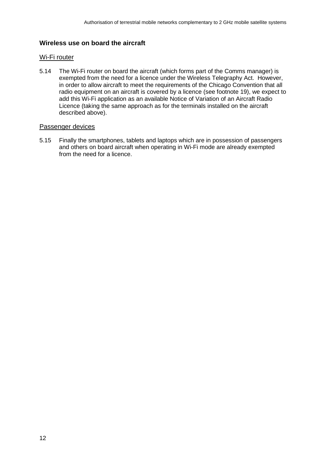## **Wireless use on board the aircraft**

## Wi-Fi router

5.14 The Wi-Fi router on board the aircraft (which forms part of the Comms manager) is exempted from the need for a licence under the Wireless Telegraphy Act. However, in order to allow aircraft to meet the requirements of the Chicago Convention that all radio equipment on an aircraft is covered by a licence (see footnote 19), we expect to add this Wi-Fi application as an available Notice of Variation of an Aircraft Radio Licence (taking the same approach as for the terminals installed on the aircraft described above).

## Passenger devices

5.15 Finally the smartphones, tablets and laptops which are in possession of passengers and others on board aircraft when operating in Wi-Fi mode are already exempted from the need for a licence.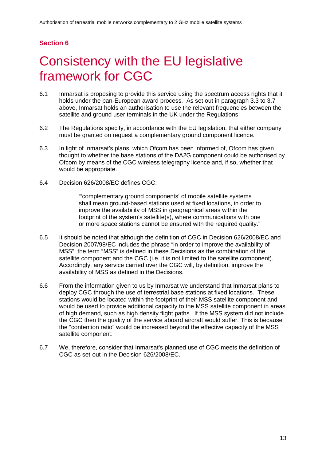## **Section 6**

# <span id="page-16-0"></span>6 Consistency with the EU legislative framework for CGC

- 6.1 Inmarsat is proposing to provide this service using the spectrum access rights that it holds under the pan-European award process. As set out in paragraph [3.3](#page-8-6) to [3.7](#page-9-4) above, Inmarsat holds an authorisation to use the relevant frequencies between the satellite and ground user terminals in the UK under the Regulations.
- 6.2 The Regulations specify, in accordance with the EU legislation, that either company must be granted on request a complementary ground component licence.
- 6.3 In light of Inmarsat's plans, which Ofcom has been informed of, Ofcom has given thought to whether the base stations of the DA2G component could be authorised by Ofcom by means of the CGC wireless telegraphy licence and, if so, whether that would be appropriate.
- 6.4 Decision 626/2008/EC defines CGC:

"'complementary ground components' of mobile satellite systems shall mean ground-based stations used at fixed locations, in order to improve the availability of MSS in geographical areas within the footprint of the system's satellite(s), where communications with one or more space stations cannot be ensured with the required quality."

- 6.5 It should be noted that although the definition of CGC in Decision 626/2008/EC and Decision 2007/98/EC includes the phrase "in order to improve the availability of MSS", the term "MSS" is defined in these Decisions as the combination of the satellite component and the CGC (i.e. it is not limited to the satellite component). Accordingly, any service carried over the CGC will, by definition, improve the availability of MSS as defined in the Decisions.
- 6.6 From the information given to us by Inmarsat we understand that Inmarsat plans to deploy CGC through the use of terrestrial base stations at fixed locations. These stations would be located within the footprint of their MSS satellite component and would be used to provide additional capacity to the MSS satellite component in areas of high demand, such as high density flight paths. If the MSS system did not include the CGC then the quality of the service aboard aircraft would suffer. This is because the "contention ratio" would be increased beyond the effective capacity of the MSS satellite component.
- 6.7 We, therefore, consider that Inmarsat's planned use of CGC meets the definition of CGC as set-out in the Decision 626/2008/EC.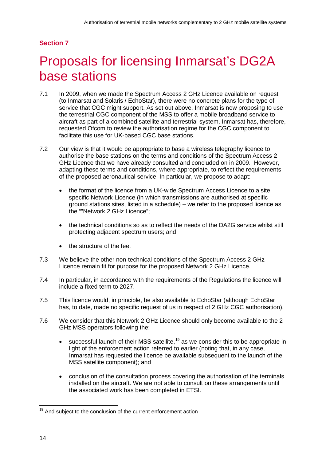# <span id="page-17-1"></span>**Section 7**

# <span id="page-17-0"></span>7 Proposals for licensing Inmarsat's DG2A base stations

- 7.1 In 2009, when we made the Spectrum Access 2 GHz Licence available on request (to Inmarsat and Solaris / EchoStar), there were no concrete plans for the type of service that CGC might support. As set out above, Inmarsat is now proposing to use the terrestrial CGC component of the MSS to offer a mobile broadband service to aircraft as part of a combined satellite and terrestrial system. Inmarsat has, therefore, requested Ofcom to review the authorisation regime for the CGC component to facilitate this use for UK-based CGC base stations.
- 7.2 Our view is that it would be appropriate to base a wireless telegraphy licence to authorise the base stations on the terms and conditions of the Spectrum Access 2 GHz Licence that we have already consulted and concluded on in 2009. However, adapting these terms and conditions, where appropriate, to reflect the requirements of the proposed aeronautical service. In particular, we propose to adapt:
	- the format of the licence from a UK-wide Spectrum Access Licence to a site specific Network Licence (in which transmissions are authorised at specific ground stations sites, listed in a schedule) – we refer to the proposed licence as the ""Network 2 GHz Licence";
	- the technical conditions so as to reflect the needs of the DA2G service whilst still protecting adjacent spectrum users; and
	- the structure of the fee.
- 7.3 We believe the other non-technical conditions of the Spectrum Access 2 GHz Licence remain fit for purpose for the proposed Network 2 GHz Licence.
- 7.4 In particular, in accordance with the requirements of the Regulations the licence will include a fixed term to 2027.
- 7.5 This licence would, in principle, be also available to EchoStar (although EchoStar has, to date, made no specific request of us in respect of 2 GHz CGC authorisation).
- 7.6 We consider that this Network 2 GHz Licence should only become available to the 2 GHz MSS operators following the:
	- successful launch of their MSS satellite,<sup>[19](#page-17-2)</sup> as we consider this to be appropriate in light of the enforcement action referred to earlier (noting that, in any case, Inmarsat has requested the licence be available subsequent to the launch of the MSS satellite component); and
	- conclusion of the consultation process covering the authorisation of the terminals installed on the aircraft. We are not able to consult on these arrangements until the associated work has been completed in ETSI.

<span id="page-17-2"></span><sup>&</sup>lt;sup>19</sup> And subject to the conclusion of the current enforcement action  $\overline{a}$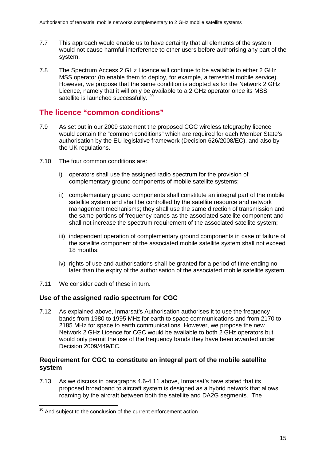- 7.7 This approach would enable us to have certainty that all elements of the system would not cause harmful interference to other users before authorising any part of the system.
- 7.8 The Spectrum Access 2 GHz Licence will continue to be available to either 2 GHz MSS operator (to enable them to deploy, for example, a terrestrial mobile service). However, we propose that the same condition is adopted as for the Network 2 GHz Licence, namely that it will only be available to a 2 GHz operator once its MSS satellite is launched successfully. <sup>[20](#page-18-0)</sup>

# **The licence "common conditions"**

- 7.9 As set out in our 2009 statement the proposed CGC wireless telegraphy licence would contain the "common conditions" which are required for each Member State's authorisation by the EU legislative framework (Decision 626/2008/EC), and also by the UK regulations.
- 7.10 The four common conditions are:
	- i) operators shall use the assigned radio spectrum for the provision of complementary ground components of mobile satellite systems;
	- ii) complementary ground components shall constitute an integral part of the mobile satellite system and shall be controlled by the satellite resource and network management mechanisms; they shall use the same direction of transmission and the same portions of frequency bands as the associated satellite component and shall not increase the spectrum requirement of the associated satellite system;
	- iii) independent operation of complementary ground components in case of failure of the satellite component of the associated mobile satellite system shall not exceed 18 months;
	- iv) rights of use and authorisations shall be granted for a period of time ending no later than the expiry of the authorisation of the associated mobile satellite system.
- 7.11 We consider each of these in turn.

## **Use of the assigned radio spectrum for CGC**

7.12 As explained above, Inmarsat's Authorisation authorises it to use the frequency bands from 1980 to 1995 MHz for earth to space communications and from 2170 to 2185 MHz for space to earth communications. However, we propose the new Network 2 GHz Licence for CGC would be available to both 2 GHz operators but would only permit the use of the frequency bands they have been awarded under Decision 2009/449/EC.

## **Requirement for CGC to constitute an integral part of the mobile satellite system**

7.13 As we discuss in paragraphs [4.6-](#page-11-2)[4.11](#page-11-3) above, Inmarsat's have stated that its proposed broadband to aircraft system is designed as a hybrid network that allows roaming by the aircraft between both the satellite and DA2G segments. The

<span id="page-18-0"></span><sup>&</sup>lt;sup>20</sup> And subject to the conclusion of the current enforcement action  $\overline{a}$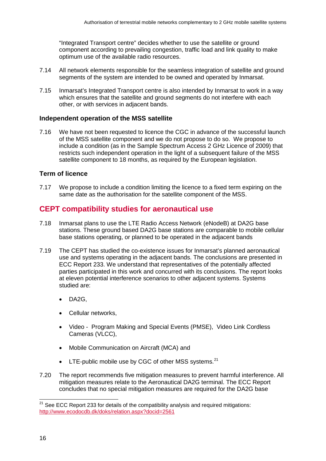"Integrated Transport centre" decides whether to use the satellite or ground component according to prevailing congestion, traffic load and link quality to make optimum use of the available radio resources.

- 7.14 All network elements responsible for the seamless integration of satellite and ground segments of the system are intended to be owned and operated by Inmarsat.
- 7.15 Inmarsat's Integrated Transport centre is also intended by Inmarsat to work in a way which ensures that the satellite and ground segments do not interfere with each other, or with services in adjacent bands.

### **Independent operation of the MSS satellite**

7.16 We have not been requested to licence the CGC in advance of the successful launch of the MSS satellite component and we do not propose to do so. We propose to include a condition (as in the Sample Spectrum Access 2 GHz Licence of 2009) that restricts such independent operation in the light of a subsequent failure of the MSS satellite component to 18 months, as required by the European legislation.

## **Term of licence**

7.17 We propose to include a condition limiting the licence to a fixed term expiring on the same date as the authorisation for the satellite component of the MSS.

## **CEPT compatibility studies for aeronautical use**

- 7.18 Inmarsat plans to use the LTE Radio Access Network (eNodeB) at DA2G base stations. These ground based DA2G base stations are comparable to mobile cellular base stations operating, or planned to be operated in the adjacent bands
- 7.19 The CEPT has studied the co-existence issues for Inmarsat's planned aeronautical use and systems operating in the adjacent bands. The conclusions are presented in ECC Report 233. We understand that representatives of the potentially affected parties participated in this work and concurred with its conclusions. The report looks at eleven potential interference scenarios to other adjacent systems. Systems studied are:
	- DA2G,
	- Cellular networks,
	- Video Program Making and Special Events (PMSE), Video Link Cordless Cameras (VLCC),
	- Mobile Communication on Aircraft (MCA) and
	- $\bullet$  LTE-public mobile use by CGC of other MSS systems.<sup>[21](#page-19-0)</sup>
- 7.20 The report recommends five mitigation measures to prevent harmful interference. All mitigation measures relate to the Aeronautical DA2G terminal. The ECC Report concludes that no special mitigation measures are required for the DA2G base

 $\overline{a}$ 

<span id="page-19-0"></span><sup>&</sup>lt;sup>21</sup> See ECC Report 233 for details of the compatibility analysis and required mitigations: <http://www.ecodocdb.dk/doks/relation.aspx?docid=2561>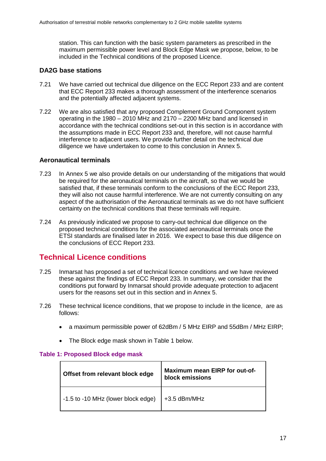station. This can function with the basic system parameters as prescribed in the maximum permissible power level and Block Edge Mask we propose, below, to be included in the Technical conditions of the proposed Licence.

## **DA2G base stations**

- 7.21 We have carried out technical due diligence on the ECC Report 233 and are content that ECC Report 233 makes a thorough assessment of the interference scenarios and the potentially affected adjacent systems.
- 7.22 We are also satisfied that any proposed Complement Ground Component system operating in the 1980 – 2010 MHz and 2170 – 2200 MHz band and licensed in accordance with the technical conditions set-out in this section is in accordance with the assumptions made in ECC Report 233 and, therefore, will not cause harmful interference to adjacent users. We provide further detail on the technical due diligence we have undertaken to come to this conclusion in [Annex](#page-36-1) 5.

## **Aeronautical terminals**

- 7.23 In [Annex](#page-36-1) 5 we also provide details on our understanding of the mitigations that would be required for the aeronautical terminals on the aircraft, so that we would be satisfied that, if these terminals conform to the conclusions of the ECC Report 233, they will also not cause harmful interference. We are not currently consulting on any aspect of the authorisation of the Aeronautical terminals as we do not have sufficient certainty on the technical conditions that these terminals will require.
- 7.24 As previously indicated we propose to carry-out technical due diligence on the proposed technical conditions for the associated aeronautical terminals once the ETSI standards are finalised later in 2016. We expect to base this due diligence on the conclusions of ECC Report 233.

## **Technical Licence conditions**

- 7.25 Inmarsat has proposed a set of technical licence conditions and we have reviewed these against the findings of ECC Report 233. In summary, we consider that the conditions put forward by Inmarsat should provide adequate protection to adjacent users for the reasons set out in this section and in [Annex](#page-36-1) 5.
- 7.26 These technical licence conditions, that we propose to include in the licence, are as follows:
	- a maximum permissible power of 62dBm / 5 MHz EIRP and 55dBm / MHz EIRP;
	- The Block edge mask shown in Table 1 below.

### **Table 1: Proposed Block edge mask**

| Offset from relevant block edge    | <b>Maximum mean EIRP for out-of-</b><br>block emissions |
|------------------------------------|---------------------------------------------------------|
| -1.5 to -10 MHz (lower block edge) | $+3.5$ dBm/MHz                                          |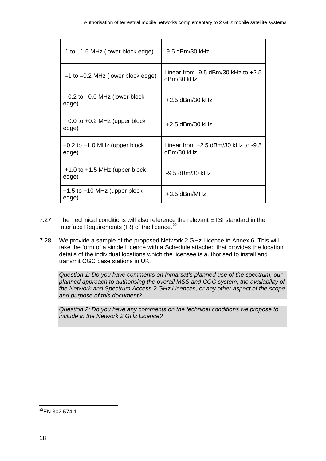| $-1$ to $-1.5$ MHz (lower block edge)      | -9.5 dBm/30 kHz                                       |
|--------------------------------------------|-------------------------------------------------------|
| $-1$ to $-0.2$ MHz (lower block edge)      | Linear from $-9.5$ dBm/30 kHz to $+2.5$<br>dBm/30 kHz |
| $-0.2$ to 0.0 MHz (lower block<br>edge)    | +2.5 dBm/30 kHz                                       |
| $0.0$ to $+0.2$ MHz (upper block<br>edge)  | +2.5 dBm/30 kHz                                       |
| $+0.2$ to $+1.0$ MHz (upper block<br>edge) | Linear from $+2.5$ dBm/30 kHz to $-9.5$<br>dBm/30 kHz |
| $+1.0$ to $+1.5$ MHz (upper block<br>edge) | -9.5 dBm/30 kHz                                       |
| $+1.5$ to $+10$ MHz (upper block<br>edge)  | +3.5 dBm/MHz                                          |

- 7.27 The Technical conditions will also reference the relevant ETSI standard in the Interface Requirements (IR) of the licence. $^{22}$
- 7.28 We provide a sample of the proposed Network 2 GHz Licence in [Annex 6.](#page-41-1) This will take the form of a single Licence with a Schedule attached that provides the location details of the individual locations which the licensee is authorised to install and transmit CGC base stations in UK.

*Question 1: Do you have comments on Inmarsat's planned use of the spectrum, our planned approach to authorising the overall MSS and CGC system, the availability of the Network and Spectrum Access 2 GHz Licences, or any other aspect of the scope and purpose of this document?*

*Question 2: Do you have any comments on the technical conditions we propose to include in the Network 2 GHz Licence?*

<span id="page-21-0"></span> $^{22}$ EN 302 574-1  $\overline{a}$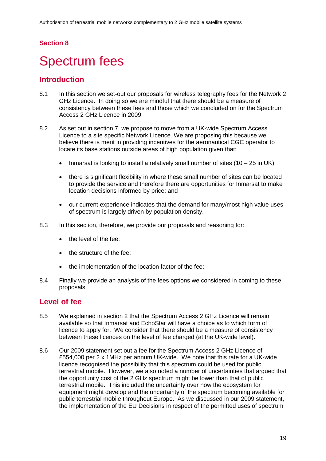## **Section 8**

# <span id="page-22-0"></span>Spectrum fees

## **Introduction**

- 8.1 In this section we set-out our proposals for wireless telegraphy fees for the Network 2 GHz Licence. In doing so we are mindful that there should be a measure of consistency between these fees and those which we concluded on for the Spectrum Access 2 GHz Licence in 2009.
- 8.2 As set out in section 7, we propose to move from a UK-wide Spectrum Access Licence to a site specific Network Licence. We are proposing this because we believe there is merit in providing incentives for the aeronautical CGC operator to locate its base stations outside areas of high population given that:
	- Inmarsat is looking to install a relatively small number of sites  $(10 25$  in UK);
	- there is significant flexibility in where these small number of sites can be located to provide the service and therefore there are opportunities for Inmarsat to make location decisions informed by price; and
	- our current experience indicates that the demand for many/most high value uses of spectrum is largely driven by population density.
- 8.3 In this section, therefore, we provide our proposals and reasoning for:
	- the level of the fee:
	- the structure of the fee;
	- the implementation of the location factor of the fee;
- 8.4 Finally we provide an analysis of the fees options we considered in coming to these proposals.

## **Level of fee**

- 8.5 We explained in section 2 that the Spectrum Access 2 GHz Licence will remain available so that Inmarsat and EchoStar will have a choice as to which form of licence to apply for. We consider that there should be a measure of consistency between these licences on the level of fee charged (at the UK-wide level).
- 8.6 Our 2009 statement set out a fee for the Spectrum Access 2 GHz Licence of £554,000 per 2 x 1MHz per annum UK-wide. We note that this rate for a UK-wide licence recognised the possibility that this spectrum could be used for public terrestrial mobile. However, we also noted a number of uncertainties that argued that the opportunity cost of the 2 GHz spectrum might be lower than that of public terrestrial mobile. This included the uncertainty over how the ecosystem for equipment might develop and the uncertainty of the spectrum becoming available for public terrestrial mobile throughout Europe. As we discussed in our 2009 statement, the implementation of the EU Decisions in respect of the permitted uses of spectrum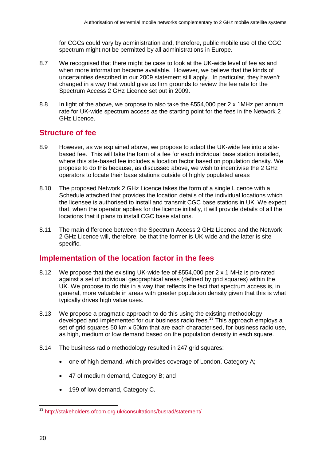for CGCs could vary by administration and, therefore, public mobile use of the CGC spectrum might not be permitted by all administrations in Europe.

- 8.7 We recognised that there might be case to look at the UK-wide level of fee as and when more information became available. However, we believe that the kinds of uncertainties described in our 2009 statement still apply. In particular, they haven't changed in a way that would give us firm grounds to review the fee rate for the Spectrum Access 2 GHz Licence set out in 2009.
- 8.8 In light of the above, we propose to also take the £554,000 per 2 x 1MHz per annum rate for UK-wide spectrum access as the starting point for the fees in the Network 2 GHz Licence.

# **Structure of fee**

- 8.9 However, as we explained above, we propose to adapt the UK-wide fee into a sitebased fee. This will take the form of a fee for each individual base station installed, where this site-based fee includes a location factor based on population density. We propose to do this because, as discussed above, we wish to incentivise the 2 GHz operators to locate their base stations outside of highly populated areas
- 8.10 The proposed Network 2 GHz Licence takes the form of a single Licence with a Schedule attached that provides the location details of the individual locations which the licensee is authorised to install and transmit CGC base stations in UK. We expect that, when the operator applies for the licence initially, it will provide details of all the locations that it plans to install CGC base stations.
- 8.11 The main difference between the Spectrum Access 2 GHz Licence and the Network 2 GHz Licence will, therefore, be that the former is UK-wide and the latter is site specific.

## **Implementation of the location factor in the fees**

- 8.12 We propose that the existing UK-wide fee of £554,000 per 2 x 1 MHz is pro-rated against a set of individual geographical areas (defined by grid squares) within the UK. We propose to do this in a way that reflects the fact that spectrum access is, in general, more valuable in areas with greater population density given that this is what typically drives high value uses.
- 8.13 We propose a pragmatic approach to do this using the existing methodology developed and implemented for our business radio fees.<sup>[23](#page-23-0)</sup> This approach employs a set of grid squares 50 km x 50km that are each characterised, for business radio use, as high, medium or low demand based on the population density in each square.
- 8.14 The business radio methodology resulted in 247 grid squares:
	- one of high demand, which provides coverage of London, Category A;
	- 47 of medium demand, Category B; and
	- 199 of low demand, Category C.

<span id="page-23-0"></span><sup>&</sup>lt;sup>23</sup> <http://stakeholders.ofcom.org.uk/consultations/busrad/statement/>  $\overline{a}$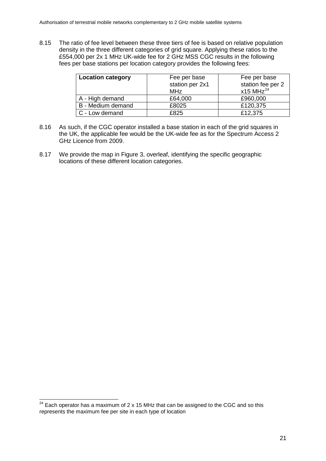8.15 The ratio of fee level between these three tiers of fee is based on relative population density in the three different categories of grid square. Applying these ratios to the £554,000 per 2x 1 MHz UK-wide fee for 2 GHz MSS CGC results in the following fees per base stations per location category provides the following fees:

| <b>Location category</b> | Fee per base<br>station per 2x1<br>MHz | Fee per base<br>station fee per 2<br>$x15$ MHz <sup>24</sup> |
|--------------------------|----------------------------------------|--------------------------------------------------------------|
| A - High demand          | £64,000                                | £960,000                                                     |
| B - Medium demand        | £8025                                  | £120,375                                                     |
| C - Low demand           | £825                                   | £12,375                                                      |

- 8.16 As such, if the CGC operator installed a base station in each of the grid squares in the UK, the applicable fee would be the UK-wide fee as for the Spectrum Access 2 GHz Licence from 2009.
- 8.17 We provide the map in [Figure 3,](#page-25-0) overleaf, identifying the specific geographic locations of these different location categories.

<span id="page-24-0"></span> $24$  Each operator has a maximum of 2 x 15 MHz that can be assigned to the CGC and so this represents the maximum fee per site in each type of location  $\overline{a}$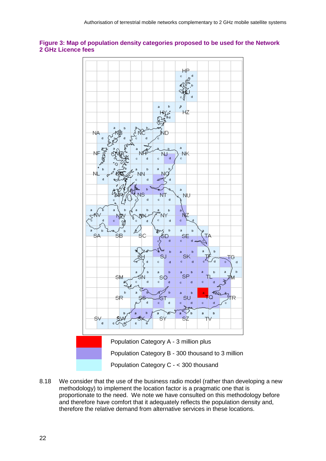### <span id="page-25-0"></span>**Figure 3: Map of population density categories proposed to be used for the Network 2 GHz Licence fees**



8.18 We consider that the use of the business radio model (rather than developing a new methodology) to implement the location factor is a pragmatic one that is proportionate to the need. We note we have consulted on this methodology before and therefore have comfort that it adequately reflects the population density and, therefore the relative demand from alternative services in these locations.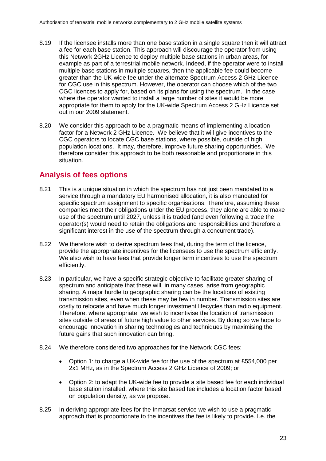- 8.19 If the licensee installs more than one base station in a single square then it will attract a fee for each base station. This approach will discourage the operator from using this Network 2GHz Licence to deploy multiple base stations in urban areas, for example as part of a terrestrial mobile network. Indeed, if the operator were to install multiple base stations in multiple squares, then the applicable fee could become greater than the UK-wide fee under the alternate Spectrum Access 2 GHz Licence for CGC use in this spectrum. However, the operator can choose which of the two CGC licences to apply for, based on its plans for using the spectrum. In the case where the operator wanted to install a large number of sites it would be more appropriate for them to apply for the UK-wide Spectrum Access 2 GHz Licence set out in our 2009 statement.
- 8.20 We consider this approach to be a pragmatic means of implementing a location factor for a Network 2 GHz Licence. We believe that it will give incentives to the CGC operators to locate CGC base stations, where possible, outside of high population locations. It may, therefore, improve future sharing opportunities. We therefore consider this approach to be both reasonable and proportionate in this situation.

# **Analysis of fees options**

- 8.21 This is a unique situation in which the spectrum has not just been mandated to a service through a mandatory EU harmonised allocation, it is also mandated for specific spectrum assignment to specific organisations. Therefore, assuming these companies meet their obligations under the EU process, they alone are able to make use of the spectrum until 2027, unless it is traded (and even following a trade the operator(s) would need to retain the obligations and responsibilities and therefore a significant interest in the use of the spectrum through a concurrent trade).
- 8.22 We therefore wish to derive spectrum fees that, during the term of the licence, provide the appropriate incentives for the licensees to use the spectrum efficiently. We also wish to have fees that provide longer term incentives to use the spectrum efficiently.
- 8.23 In particular, we have a specific strategic objective to facilitate greater sharing of spectrum and anticipate that these will, in many cases, arise from geographic sharing. A major hurdle to geographic sharing can be the locations of existing transmission sites, even when these may be few in number. Transmission sites are costly to relocate and have much longer investment lifecycles than radio equipment. Therefore, where appropriate, we wish to incentivise the location of transmission sites outside of areas of future high value to other services. By doing so we hope to encourage innovation in sharing technologies and techniques by maximising the future gains that such innovation can bring.
- 8.24 We therefore considered two approaches for the Network CGC fees:
	- Option 1: to charge a UK-wide fee for the use of the spectrum at £554,000 per 2x1 MHz, as in the Spectrum Access 2 GHz Licence of 2009; or
	- Option 2: to adapt the UK-wide fee to provide a site based fee for each individual base station installed, where this site based fee includes a location factor based on population density, as we propose.
- 8.25 In deriving appropriate fees for the Inmarsat service we wish to use a pragmatic approach that is proportionate to the incentives the fee is likely to provide. I.e. the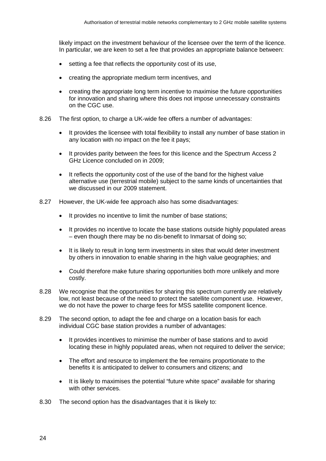likely impact on the investment behaviour of the licensee over the term of the licence. In particular, we are keen to set a fee that provides an appropriate balance between:

- setting a fee that reflects the opportunity cost of its use.
- creating the appropriate medium term incentives, and
- creating the appropriate long term incentive to maximise the future opportunities for innovation and sharing where this does not impose unnecessary constraints on the CGC use.
- 8.26 The first option, to charge a UK-wide fee offers a number of advantages:
	- It provides the licensee with total flexibility to install any number of base station in any location with no impact on the fee it pays;
	- It provides parity between the fees for this licence and the Spectrum Access 2 GHz Licence concluded on in 2009;
	- It reflects the opportunity cost of the use of the band for the highest value alternative use (terrestrial mobile) subject to the same kinds of uncertainties that we discussed in our 2009 statement.
- 8.27 However, the UK-wide fee approach also has some disadvantages:
	- It provides no incentive to limit the number of base stations;
	- It provides no incentive to locate the base stations outside highly populated areas – even though there may be no dis-benefit to Inmarsat of doing so;
	- It is likely to result in long term investments in sites that would deter investment by others in innovation to enable sharing in the high value geographies; and
	- Could therefore make future sharing opportunities both more unlikely and more costly.
- 8.28 We recognise that the opportunities for sharing this spectrum currently are relatively low, not least because of the need to protect the satellite component use. However, we do not have the power to charge fees for MSS satellite component licence.
- 8.29 The second option, to adapt the fee and charge on a location basis for each individual CGC base station provides a number of advantages:
	- It provides incentives to minimise the number of base stations and to avoid locating these in highly populated areas, when not required to deliver the service;
	- The effort and resource to implement the fee remains proportionate to the benefits it is anticipated to deliver to consumers and citizens; and
	- It is likely to maximises the potential "future white space" available for sharing with other services.
- 8.30 The second option has the disadvantages that it is likely to: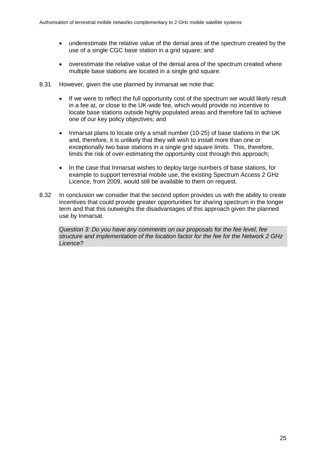- underestimate the relative value of the denial area of the spectrum created by the use of a single CGC base station in a grid square; and
- overestimate the relative value of the denial area of the spectrum created where multiple base stations are located in a single grid square.
- 8.31 However, given the use planned by Inmarsat we note that:
	- If we were to reflect the full opportunity cost of the spectrum we would likely result in a fee at, or close to the UK-wide fee, which would provide no incentive to locate base stations outside highly populated areas and therefore fail to achieve one of our key policy objectives; and
	- Inmarsat plans to locate only a small number (10-25) of base stations in the UK and, therefore, it is unlikely that they will wish to install more than one or exceptionally two base stations in a single grid square limits. This, therefore, limits the risk of over-estimating the opportunity cost through this approach;
	- In the case that Inmarsat wishes to deploy large numbers of base stations, for example to support terrestrial mobile use, the existing Spectrum Access 2 GHz Licence, from 2009, would still be available to them on request.
- 8.32 In conclusion we consider that the second option provides us with the ability to create incentives that could provide greater opportunities for sharing spectrum in the longer term and that this outweighs the disadvantages of this approach given the planned use by Inmarsat.

*Question 3: Do you have any comments on our proposals for the fee level, fee structure and implementation of the location factor for the fee for the Network 2 GHz Licence?*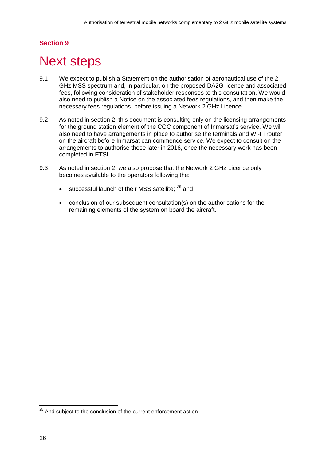## **Section 9**

# <span id="page-29-0"></span>**Next steps**

- 9.1 We expect to publish a Statement on the authorisation of aeronautical use of the 2 GHz MSS spectrum and, in particular, on the proposed DA2G licence and associated fees, following consideration of stakeholder responses to this consultation. We would also need to publish a Notice on the associated fees regulations, and then make the necessary fees regulations, before issuing a Network 2 GHz Licence.
- 9.2 As noted in section 2, this document is consulting only on the licensing arrangements for the ground station element of the CGC component of Inmarsat's service. We will also need to have arrangements in place to authorise the terminals and Wi-Fi router on the aircraft before Inmarsat can commence service. We expect to consult on the arrangements to authorise these later in 2016, once the necessary work has been completed in ETSI.
- 9.3 As noted in section 2, we also propose that the Network 2 GHz Licence only becomes available to the operators following the:
	- successful launch of their MSS satellite;  $25$  and
	- conclusion of our subsequent consultation(s) on the authorisations for the remaining elements of the system on board the aircraft.

<span id="page-29-1"></span><sup>&</sup>lt;sup>25</sup> And subject to the conclusion of the current enforcement action  $\overline{a}$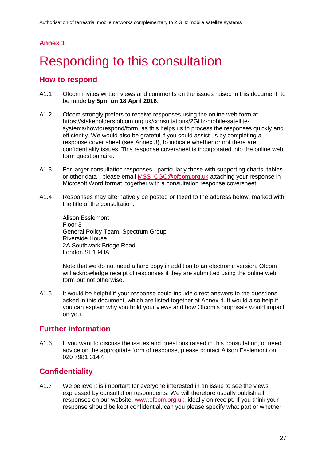## **Annex 1**

# <span id="page-30-0"></span>Responding to this consultation

## **How to respond**

- A1.1 Ofcom invites written views and comments on the issues raised in this document, to be made **by 5pm on 18 April 2016**.
- A1.2 Ofcom strongly prefers to receive responses using the online web form at https://stakeholders.ofcom.org.uk/consultations/2GHz-mobile-satellitesystems/howtorespond/form, as this helps us to process the responses quickly and efficiently. We would also be grateful if you could assist us by completing a response cover sheet (see Annex 3), to indicate whether or not there are confidentiality issues. This response coversheet is incorporated into the online web form questionnaire.
- A1.3 For larger consultation responses particularly those with supporting charts, tables or other data - please email [MSS\\_CGC@ofcom.org.uk](mailto:MSS_CGC@ofcom.org.uk) attaching your response in Microsoft Word format, together with a consultation response coversheet.
- A1.4 Responses may alternatively be posted or faxed to the address below, marked with the title of the consultation.

Alison Esslemont Floor 3 General Policy Team, Spectrum Group Riverside House 2A Southwark Bridge Road London SE1 9HA

Note that we do not need a hard copy in addition to an electronic version. Ofcom will acknowledge receipt of responses if they are submitted using the online web form but not otherwise.

A1.5 It would be helpful if your response could include direct answers to the questions asked in this document, which are listed together at Annex 4. It would also help if you can explain why you hold your views and how Ofcom's proposals would impact on you.

## **Further information**

A1.6 If you want to discuss the issues and questions raised in this consultation, or need advice on the appropriate form of response, please contact Alison Esslemont on 020 7981 3147.

# **Confidentiality**

A1.7 We believe it is important for everyone interested in an issue to see the views expressed by consultation respondents. We will therefore usually publish all responses on our website, [www.ofcom.org.uk,](http://www.ofcom.org.uk/) ideally on receipt. If you think your response should be kept confidential, can you please specify what part or whether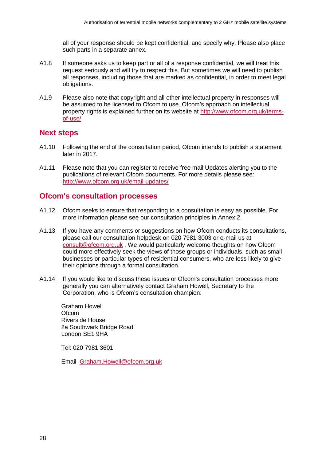all of your response should be kept confidential, and specify why. Please also place such parts in a separate annex.

- A1.8 If someone asks us to keep part or all of a response confidential, we will treat this request seriously and will try to respect this. But sometimes we will need to publish all responses, including those that are marked as confidential, in order to meet legal obligations.
- A1.9 Please also note that copyright and all other intellectual property in responses will be assumed to be licensed to Ofcom to use. Ofcom's approach on intellectual property rights is explained further on its website at [http://www.ofcom.org.uk/terms](http://www.ofcom.org.uk/terms-of-use/)[of-use/](http://www.ofcom.org.uk/terms-of-use/)

## **Next steps**

- A1.10 Following the end of the consultation period, Ofcom intends to publish a statement later in 2017.
- A1.11 Please note that you can register to receive free mail Updates alerting you to the publications of relevant Ofcom documents. For more details please see: <http://www.ofcom.org.uk/email-updates/>

## **Ofcom's consultation processes**

- A1.12 Ofcom seeks to ensure that responding to a consultation is easy as possible. For more information please see our consultation principles in Annex 2.
- A1.13 If you have any comments or suggestions on how Ofcom conducts its consultations, please call our consultation helpdesk on 020 7981 3003 or e-mail us at [consult@ofcom.org.uk](mailto:consult@ofcom.org.uk) . We would particularly welcome thoughts on how Ofcom could more effectively seek the views of those groups or individuals, such as small businesses or particular types of residential consumers, who are less likely to give their opinions through a formal consultation.
- A1.14 If you would like to discuss these issues or Ofcom's consultation processes more generally you can alternatively contact Graham Howell, Secretary to the Corporation, who is Ofcom's consultation champion:

Graham Howell **Ofcom** Riverside House 2a Southwark Bridge Road London SE1 9HA

Tel: 020 7981 3601

Email [Graham.Howell@ofcom.org.uk](mailto:Graham.Howell@ofcom.org.uk)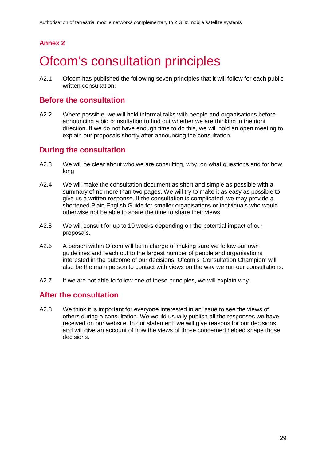# **Annex 2**

# <span id="page-32-0"></span>**Ofcom's consultation principles**

A2.1 Ofcom has published the following seven principles that it will follow for each public written consultation:

## **Before the consultation**

A2.2 Where possible, we will hold informal talks with people and organisations before announcing a big consultation to find out whether we are thinking in the right direction. If we do not have enough time to do this, we will hold an open meeting to explain our proposals shortly after announcing the consultation.

## **During the consultation**

- A2.3 We will be clear about who we are consulting, why, on what questions and for how long.
- A2.4 We will make the consultation document as short and simple as possible with a summary of no more than two pages. We will try to make it as easy as possible to give us a written response. If the consultation is complicated, we may provide a shortened Plain English Guide for smaller organisations or individuals who would otherwise not be able to spare the time to share their views.
- A2.5 We will consult for up to 10 weeks depending on the potential impact of our proposals.
- A2.6 A person within Ofcom will be in charge of making sure we follow our own guidelines and reach out to the largest number of people and organisations interested in the outcome of our decisions. Ofcom's 'Consultation Champion' will also be the main person to contact with views on the way we run our consultations.
- A2.7 If we are not able to follow one of these principles, we will explain why.

## **After the consultation**

A2.8 We think it is important for everyone interested in an issue to see the views of others during a consultation. We would usually publish all the responses we have received on our website. In our statement, we will give reasons for our decisions and will give an account of how the views of those concerned helped shape those decisions.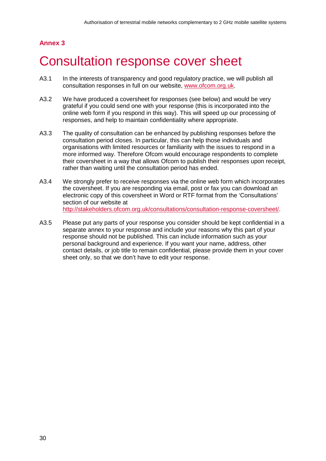# **Annex 3**

# <span id="page-33-0"></span>3 Consultation response cover sheet

- A3.1 In the interests of transparency and good regulatory practice, we will publish all consultation responses in full on our website, [www.ofcom.org.uk.](http://www.ofcom.org.uk/)
- A3.2 We have produced a coversheet for responses (see below) and would be very grateful if you could send one with your response (this is incorporated into the online web form if you respond in this way). This will speed up our processing of responses, and help to maintain confidentiality where appropriate.
- A3.3 The quality of consultation can be enhanced by publishing responses before the consultation period closes. In particular, this can help those individuals and organisations with limited resources or familiarity with the issues to respond in a more informed way. Therefore Ofcom would encourage respondents to complete their coversheet in a way that allows Ofcom to publish their responses upon receipt, rather than waiting until the consultation period has ended.
- A3.4 We strongly prefer to receive responses via the online web form which incorporates the coversheet. If you are responding via email, post or fax you can download an electronic copy of this coversheet in Word or RTF format from the 'Consultations' section of our website at [http://stakeholders.ofcom.org.uk/consultations/consultation-response-coversheet/.](http://stakeholders.ofcom.org.uk/consultations/consultation-response-coversheet/)
- A3.5 Please put any parts of your response you consider should be kept confidential in a separate annex to your response and include your reasons why this part of your response should not be published. This can include information such as your personal background and experience. If you want your name, address, other contact details, or job title to remain confidential, please provide them in your cover sheet only, so that we don't have to edit your response.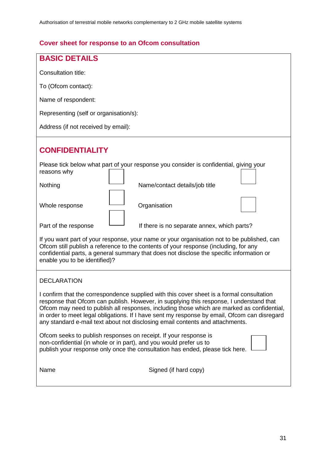# **Cover sheet for response to an Ofcom consultation**

| <b>BASIC DETAILS</b>                                                                                                                                                                                                                                                                                                                                                                                                                                                |  |  |
|---------------------------------------------------------------------------------------------------------------------------------------------------------------------------------------------------------------------------------------------------------------------------------------------------------------------------------------------------------------------------------------------------------------------------------------------------------------------|--|--|
| Consultation title:                                                                                                                                                                                                                                                                                                                                                                                                                                                 |  |  |
| To (Ofcom contact):                                                                                                                                                                                                                                                                                                                                                                                                                                                 |  |  |
| Name of respondent:                                                                                                                                                                                                                                                                                                                                                                                                                                                 |  |  |
| Representing (self or organisation/s):                                                                                                                                                                                                                                                                                                                                                                                                                              |  |  |
| Address (if not received by email):                                                                                                                                                                                                                                                                                                                                                                                                                                 |  |  |
| <b>CONFIDENTIALITY</b>                                                                                                                                                                                                                                                                                                                                                                                                                                              |  |  |
| Please tick below what part of your response you consider is confidential, giving your<br>reasons why                                                                                                                                                                                                                                                                                                                                                               |  |  |
| Nothing<br>Name/contact details/job title                                                                                                                                                                                                                                                                                                                                                                                                                           |  |  |
| Whole response<br>Organisation                                                                                                                                                                                                                                                                                                                                                                                                                                      |  |  |
| Part of the response<br>If there is no separate annex, which parts?                                                                                                                                                                                                                                                                                                                                                                                                 |  |  |
| If you want part of your response, your name or your organisation not to be published, can<br>Ofcom still publish a reference to the contents of your response (including, for any<br>confidential parts, a general summary that does not disclose the specific information or<br>enable you to be identified)?                                                                                                                                                     |  |  |
| <b>DECLARATION</b>                                                                                                                                                                                                                                                                                                                                                                                                                                                  |  |  |
| I confirm that the correspondence supplied with this cover sheet is a formal consultation<br>response that Ofcom can publish. However, in supplying this response, I understand that<br>Ofcom may need to publish all responses, including those which are marked as confidential,<br>in order to meet legal obligations. If I have sent my response by email, Ofcom can disregard<br>any standard e-mail text about not disclosing email contents and attachments. |  |  |
| Ofcom seeks to publish responses on receipt. If your response is<br>non-confidential (in whole or in part), and you would prefer us to<br>publish your response only once the consultation has ended, please tick here.                                                                                                                                                                                                                                             |  |  |
| Signed (if hard copy)<br>Name                                                                                                                                                                                                                                                                                                                                                                                                                                       |  |  |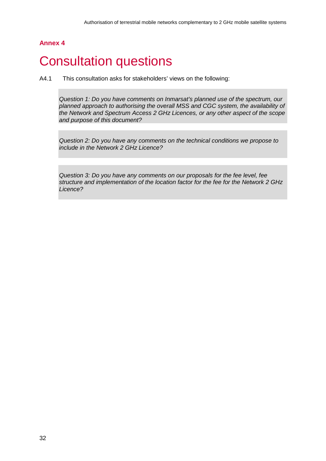## **Annex 4**

# <span id="page-35-0"></span>**Consultation questions**

A4.1 This consultation asks for stakeholders' views on the following:

*Question 1: Do you have comments on Inmarsat's planned use of the spectrum, our planned approach to authorising the overall MSS and CGC system, the availability of the Network and Spectrum Access 2 GHz Licences, or any other aspect of the scope and purpose of this document?*

*Question 2: Do you have any comments on the technical conditions we propose to include in the Network 2 GHz Licence?*

*Question 3: Do you have any comments on our proposals for the fee level, fee structure and implementation of the location factor for the fee for the Network 2 GHz Licence?*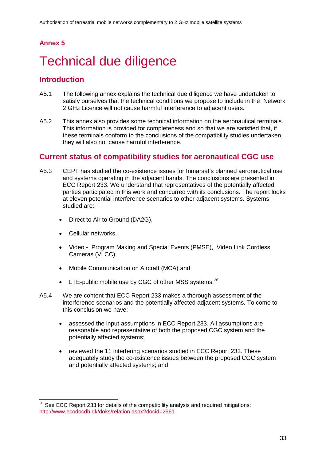## <span id="page-36-1"></span>**Annex 5**

# <span id="page-36-0"></span>5 Technical due diligence

## **Introduction**

- A5.1 The following annex explains the technical due diligence we have undertaken to satisfy ourselves that the technical conditions we propose to include in the Network 2 GHz Licence will not cause harmful interference to adjacent users.
- A5.2 This annex also provides some technical information on the aeronautical terminals. This information is provided for completeness and so that we are satisfied that, if these terminals conform to the conclusions of the compatibility studies undertaken, they will also not cause harmful interference.

## **Current status of compatibility studies for aeronautical CGC use**

- A5.3 CEPT has studied the co-existence issues for Inmarsat's planned aeronautical use and systems operating in the adjacent bands. The conclusions are presented in ECC Report 233. We understand that representatives of the potentially affected parties participated in this work and concurred with its conclusions. The report looks at eleven potential interference scenarios to other adjacent systems. Systems studied are:
	- Direct to Air to Ground (DA2G).
	- Cellular networks,

 $\overline{a}$ 

- Video Program Making and Special Events (PMSE), Video Link Cordless Cameras (VLCC),
- Mobile Communication on Aircraft (MCA) and
- LTE-public mobile use by CGC of other MSS systems. $^{26}$  $^{26}$  $^{26}$
- A5.4 We are content that ECC Report 233 makes a thorough assessment of the interference scenarios and the potentially affected adjacent systems. To come to this conclusion we have:
	- assessed the input assumptions in ECC Report 233. All assumptions are reasonable and representative of both the proposed CGC system and the potentially affected systems;
	- reviewed the 11 interfering scenarios studied in ECC Report 233. These adequately study the co-existence issues between the proposed CGC system and potentially affected systems; and

<span id="page-36-2"></span> $26$  See ECC Report 233 for details of the compatibility analysis and required mitigations: <http://www.ecodocdb.dk/doks/relation.aspx?docid=2561>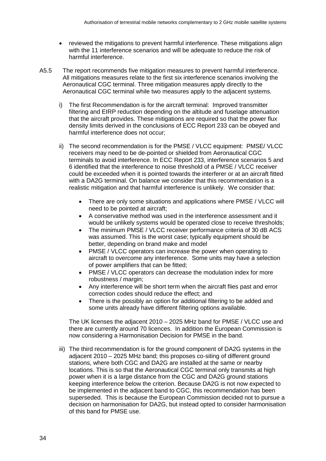- reviewed the mitigations to prevent harmful interference. These mitigations align with the 11 interference scenarios and will be adequate to reduce the risk of harmful interference.
- A5.5 The report recommends five mitigation measures to prevent harmful interference. All mitigations measures relate to the first six interference scenarios involving the Aeronautical CGC terminal. Three mitigation measures apply directly to the Aeronautical CGC terminal while two measures apply to the adjacent systems.
	- i) The first Recommendation is for the aircraft terminal: Improved transmitter filtering and EIRP reduction depending on the altitude and fuselage attenuation that the aircraft provides. These mitigations are required so that the power flux density limits derived in the conclusions of ECC Report 233 can be obeyed and harmful interference does not occur;
	- ii) The second recommendation is for the PMSE / VLCC equipment: PMSE/ VLCC receivers may need to be de-pointed or shielded from Aeronautical CGC terminals to avoid interference. In ECC Report 233, interference scenarios 5 and 6 identified that the interference to noise threshold of a PMSE / VLCC receiver could be exceeded when it is pointed towards the interferer or at an aircraft fitted with a DA2G terminal. On balance we consider that this recommendation is a realistic mitigation and that harmful interference is unlikely. We consider that:
		- There are only some situations and applications where PMSE / VLCC will need to be pointed at aircraft;
		- A conservative method was used in the interference assessment and it would be unlikely systems would be operated close to receive thresholds;
		- The minimum PMSE / VLCC receiver performance criteria of 30 dB ACS was assumed. This is the worst case; typically equipment should be better, depending on brand make and model
		- PMSE / VLCC operators can increase the power when operating to aircraft to overcome any interference. Some units may have a selection of power amplifiers that can be fitted;
		- PMSE / VLCC operators can decrease the modulation index for more robustness / margin;
		- Any interference will be short term when the aircraft flies past and error correction codes should reduce the effect; and
		- There is the possibly an option for additional filtering to be added and some units already have different filtering options available.

The UK licenses the adjacent 2010 – 2025 MHz band for PMSE / VLCC use and there are currently around 70 licences. In addition the European Commission is now considering a Harmonisation Decision for PMSE in the band.

iii) The third recommendation is for the ground component of DA2G systems in the adjacent 2010 – 2025 MHz band; this proposes co-siting of different ground stations, where both CGC and DA2G are installed at the same or nearby locations. This is so that the Aeronautical CGC terminal only transmits at high power when it is a large distance from the CGC and DA2G ground stations keeping interference below the criterion. Because DA2G is not now expected to be implemented in the adjacent band to CGC, this recommendation has been superseded. This is because the European Commission decided not to pursue a decision on harmonisation for DA2G, but instead opted to consider harmonisation of this band for PMSE use.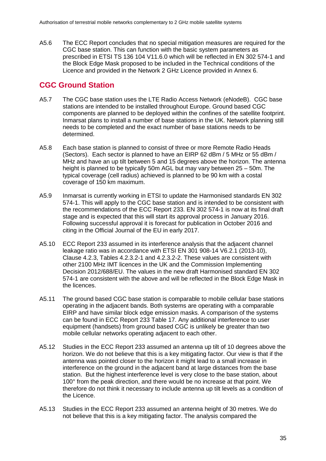A5.6 The ECC Report concludes that no special mitigation measures are required for the CGC base station. This can function with the basic system parameters as prescribed in ETSI TS 136 104 V11.6.0 which will be reflected in EN 302 574-1 and the Block Edge Mask proposed to be included in the Technical conditions of the Licence and provided in the Network 2 GHz Licence provided in [Annex 6.](#page-41-1)

# **CGC Ground Station**

- A5.7 The CGC base station uses the LTE Radio Access Network (eNodeB). CGC base stations are intended to be installed throughout Europe. Ground based CGC components are planned to be deployed within the confines of the satellite footprint. Inmarsat plans to install a number of base stations in the UK. Network planning still needs to be completed and the exact number of base stations needs to be determined.
- A5.8 Each base station is planned to consist of three or more Remote Radio Heads (Sectors). Each sector is planned to have an EIRP 62 dBm / 5 MHz or 55 dBm / MHz and have an up tilt between 5 and 15 degrees above the horizon. The antenna height is planned to be typically 50m AGL but may vary between 25 – 50m. The typical coverage (cell radius) achieved is planned to be 90 km with a costal coverage of 150 km maximum.
- A5.9 Inmarsat is currently working in ETSI to update the Harmonised standards EN 302 574-1. This will apply to the CGC base station and is intended to be consistent with the recommendations of the ECC Report 233. EN 302 574-1 is now at its final draft stage and is expected that this will start its approval process in January 2016. Following successful approval it is forecast for publication in October 2016 and citing in the Official Journal of the EU in early 2017.
- A5.10 ECC Report 233 assumed in its interference analysis that the adjacent channel leakage ratio was in accordance with ETSI EN 301 908-14 V6.2.1 (2013-10), Clause 4.2.3, Tables 4.2.3.2-1 and 4.2.3.2-2. These values are consistent with other 2100 MHz IMT licences in the UK and the Commission Implementing Decision 2012/688/EU. The values in the new draft Harmonised standard EN 302 574-1 are consistent with the above and will be reflected in the Block Edge Mask in the licences.
- A5.11 The ground based CGC base station is comparable to mobile cellular base stations operating in the adjacent bands. Both systems are operating with a comparable EIRP and have similar block edge emission masks. A comparison of the systems can be found in ECC Report 233 Table 17. Any additional interference to user equipment (handsets) from ground based CGC is unlikely be greater than two mobile cellular networks operating adjacent to each other.
- A5.12 Studies in the ECC Report 233 assumed an antenna up tilt of 10 degrees above the horizon. We do not believe that this is a key mitigating factor. Our view is that if the antenna was pointed closer to the horizon it might lead to a small increase in interference on the ground in the adjacent band at large distances from the base station. But the highest interference level is very close to the base station, about 100° from the peak direction, and there would be no increase at that point. We therefore do not think it necessary to include antenna up tilt levels as a condition of the Licence.
- A5.13 Studies in the ECC Report 233 assumed an antenna height of 30 metres. We do not believe that this is a key mitigating factor. The analysis compared the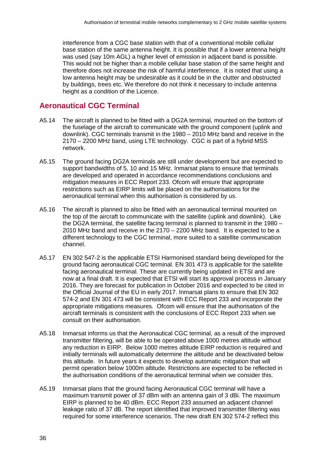interference from a CGC base station with that of a conventional mobile cellular base station of the same antenna height. It is possible that if a lower antenna height was used (say 10m AGL) a higher level of emission in adjacent band is possible. This would not be higher than a mobile cellular base station of the same height and therefore does not increase the risk of harmful interference. It is noted that using a low antenna height may be undesirable as it could be in the clutter and obstructed by buildings, trees etc. We therefore do not think it necessary to include antenna height as a condition of the Licence.

# **Aeronautical CGC Terminal**

- A5.14 The aircraft is planned to be fitted with a DG2A terminal, mounted on the bottom of the fuselage of the aircraft to communicate with the ground component (uplink and downlink). CGC terminals transmit in the 1980 – 2010 MHz band and receive in the 2170 – 2200 MHz band, using LTE technology. CGC is part of a hybrid MSS network.
- A5.15 The ground facing DG2A terminals are still under development but are expected to support bandwidths of 5, 10 and 15 MHz. Inmarsat plans to ensure that terminals are developed and operated in accordance recommendations conclusions and mitigation measures in ECC Report 233. Ofcom will ensure that appropriate restrictions such as EIRP limits will be placed on the authorisations for the aeronautical terminal when this authorisation is considered by us.
- A5.16 The aircraft is planned to also be fitted with an aeronautical terminal mounted on the top of the aircraft to communicate with the satellite (uplink and downlink). Like the DG2A terminal, the satellite facing terminal is planned to transmit in the 1980 – 2010 MHz band and receive in the 2170 – 2200 MHz band. It is expected to be a different technology to the CGC terminal, more suited to a satellite communication channel.
- A5.17 EN 302 547-2 is the applicable ETSI Harmonised standard being developed for the ground facing aeronautical CGC terminal. EN 301 473 is applicable for the satellite facing aeronautical terminal. These are currently being updated in ETSI and are now at a final draft. It is expected that ETSI will start its approval process in January 2016. They are forecast for publication in October 2016 and expected to be cited in the Official Journal of the EU in early 2017. Inmarsat plans to ensure that EN 302 574-2 and EN 301 473 will be consistent with ECC Report 233 and incorporate the appropriate mitigations measures. Ofcom will ensure that the authorisation of the aircraft terminals is consistent with the conclusions of ECC Report 233 when we consult on their authorisation.
- A5.18 Inmarsat informs us that the Aeronautical CGC terminal, as a result of the improved transmitter filtering, will be able to be operated above 1000 metres altitude without any reduction in EIRP. Below 1000 metres altitude EIRP reduction is required and initially terminals will automatically determine the altitude and be deactivated below this altitude. In future years it expects to develop automatic mitigation that will permit operation below 1000m altitude. Restrictions are expected to be reflected in the authorisation conditions of the aeronautical terminal when we consider this.
- A5.19 Inmarsat plans that the ground facing Aeronautical CGC terminal will have a maximum transmit power of 37 dBm with an antenna gain of 3 dBi. The maximum EIRP is planned to be 40 dBm. ECC Report 233 assumed an adjacent channel leakage ratio of 37 dB. The report identified that improved transmitter filtering was required for some interference scenarios. The new draft EN 302 574-2 reflect this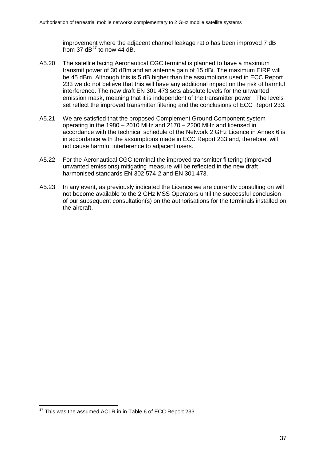improvement where the adjacent channel leakage ratio has been improved 7 dB from 37  $dB^{27}$  $dB^{27}$  $dB^{27}$  to now 44 dB.

- A5.20 The satellite facing Aeronautical CGC terminal is planned to have a maximum transmit power of 30 dBm and an antenna gain of 15 dBi. The maximum EIRP will be 45 dBm. Although this is 5 dB higher than the assumptions used in ECC Report 233 we do not believe that this will have any additional impact on the risk of harmful interference. The new draft EN 301 473 sets absolute levels for the unwanted emission mask, meaning that it is independent of the transmitter power. The levels set reflect the improved transmitter filtering and the conclusions of ECC Report 233.
- A5.21 We are satisfied that the proposed Complement Ground Component system operating in the 1980 – 2010 MHz and 2170 – 2200 MHz and licensed in accordance with the technical schedule of the Network 2 GHz Licence in [Annex 6](#page-41-1) is in accordance with the assumptions made in ECC Report 233 and, therefore, will not cause harmful interference to adjacent users.
- A5.22 For the Aeronautical CGC terminal the improved transmitter filtering (improved unwanted emissions) mitigating measure will be reflected in the new draft harmonised standards EN 302 574-2 and EN 301 473.
- A5.23 In any event, as previously indicated the Licence we are currently consulting on will not become available to the 2 GHz MSS Operators until the successful conclusion of our subsequent consultation(s) on the authorisations for the terminals installed on the aircraft.

<span id="page-40-0"></span> $^{27}$  This was the assumed ACLR in in Table 6 of ECC Report 233  $\overline{a}$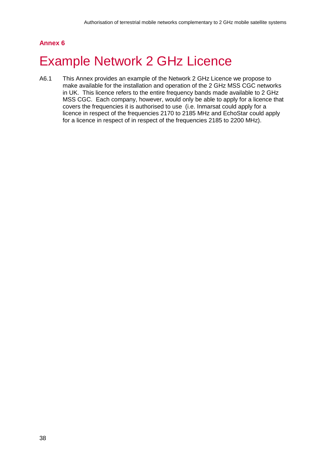## <span id="page-41-1"></span>**Annex 6**

# <span id="page-41-0"></span>**Example Network 2 GHz Licence**

A6.1 This Annex provides an example of the Network 2 GHz Licence we propose to make available for the installation and operation of the 2 GHz MSS CGC networks in UK. This licence refers to the entire frequency bands made available to 2 GHz MSS CGC. Each company, however, would only be able to apply for a licence that covers the frequencies it is authorised to use (i.e. Inmarsat could apply for a licence in respect of the frequencies 2170 to 2185 MHz and EchoStar could apply for a licence in respect of in respect of the frequencies 2185 to 2200 MHz).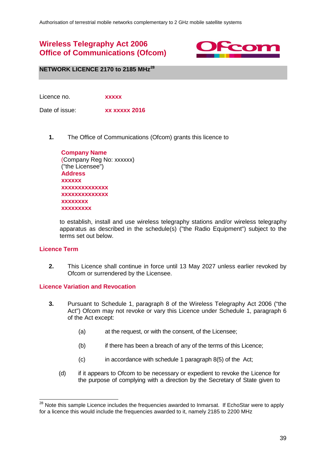# **Wireless Telegraphy Act 2006 Office of Communications (Ofcom)**



**NETWORK LICENCE 2170 to 2185 MHz[28](#page-42-0)**

Licence no. **xxxxx**

Date of issue: **xx xxxxx 2016** 

**1.** The Office of Communications (Ofcom) grants this licence to

| <b>Company Name</b>      |
|--------------------------|
| (Company Reg No: xxxxxx) |
| ("the Licensee")         |
| <b>Address</b>           |
| <b>XXXXXX</b>            |
| xxxxxxxxxxxxxx           |
| xxxxxxxxxxxxxx           |
| XXXXXXXX                 |
| XXXXXXXXX                |

to establish, install and use wireless telegraphy stations and/or wireless telegraphy apparatus as described in the schedule(s) ("the Radio Equipment") subject to the terms set out below.

### **Licence Term**

 $\overline{a}$ 

**2.** This Licence shall continue in force until 13 May 2027 unless earlier revoked by Ofcom or surrendered by the Licensee.

### **Licence Variation and Revocation**

- **3.** Pursuant to Schedule 1, paragraph 8 of the Wireless Telegraphy Act 2006 ("the Act") Ofcom may not revoke or vary this Licence under Schedule 1, paragraph 6 of the Act except:
	- (a) at the request, or with the consent, of the Licensee;
	- (b) if there has been a breach of any of the terms of this Licence;
	- $(c)$  in accordance with schedule 1 paragraph 8(5) of the Act;
	- (d) if it appears to Ofcom to be necessary or expedient to revoke the Licence for the purpose of complying with a direction by the Secretary of State given to

<span id="page-42-0"></span><sup>&</sup>lt;sup>28</sup> Note this sample Licence includes the frequencies awarded to Inmarsat. If EchoStar were to apply for a licence this would include the frequencies awarded to it, namely 2185 to 2200 MHz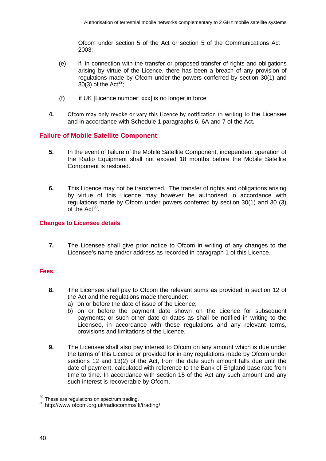Ofcom under section 5 of the Act or section 5 of the Communications Act 2003;

- (e) if, in connection with the transfer or proposed transfer of rights and obligations arising by virtue of the Licence, there has been a breach of any provision of regulations made by Ofcom under the powers conferred by section 30(1) and 30(3) of the Act<sup>29</sup>;
- (f) if UK [Licence number: xxx] is no longer in force
- **4.** Ofcom may only revoke or vary this Licence by notification in writing to the Licensee and in accordance with Schedule 1 paragraphs 6, 6A and 7 of the Act.

## **Failure of Mobile Satellite Component**

- **5.** In the event of failure of the Mobile Satellite Component, independent operation of the Radio Equipment shall not exceed 18 months before the Mobile Satellite Component is restored.
- **6.** This Licence may not be transferred. The transfer of rights and obligations arising by virtue of this Licence may however be authorised in accordance with regulations made by Ofcom under powers conferred by section 30(1) and 30 (3) of the  $Act^{30}$  $Act^{30}$  $Act^{30}$ .

### **Changes to Licensee details**

**7.** The Licensee shall give prior notice to Ofcom in writing of any changes to the Licensee's name and/or address as recorded in paragraph 1 of this Licence.

### **Fees**

- **8.** The Licensee shall pay to Ofcom the relevant sums as provided in section 12 of the Act and the regulations made thereunder:
	- a) on or before the date of issue of the Licence;
	- b) on or before the payment date shown on the Licence for subsequent payments; or such other date or dates as shall be notified in writing to the Licensee, in accordance with those regulations and any relevant terms, provisions and limitations of the Licence.
- **9.** The Licensee shall also pay interest to Ofcom on any amount which is due under the terms of this Licence or provided for in any regulations made by Ofcom under sections 12 and 13(2) of the Act, from the date such amount falls due until the date of payment, calculated with reference to the Bank of England base rate from time to time. In accordance with section 15 of the Act any such amount and any such interest is recoverable by Ofcom.

<span id="page-43-0"></span><sup>&</sup>lt;sup>29</sup> These are regulations on spectrum trading.

<span id="page-43-1"></span> $30$  http://www.ofcom.org.uk/radiocomms/ifi/trading/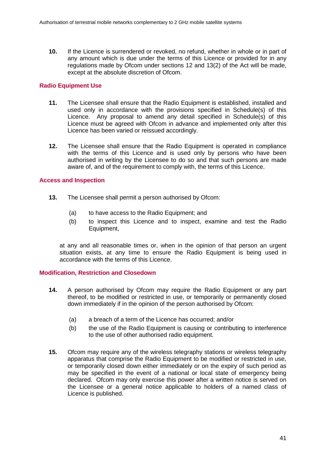**10.** If the Licence is surrendered or revoked, no refund, whether in whole or in part of any amount which is due under the terms of this Licence or provided for in any regulations made by Ofcom under sections 12 and 13(2) of the Act will be made, except at the absolute discretion of Ofcom.

## **Radio Equipment Use**

- **11.** The Licensee shall ensure that the Radio Equipment is established, installed and used only in accordance with the provisions specified in Schedule(s) of this Licence. Any proposal to amend any detail specified in Schedule(s) of this Licence must be agreed with Ofcom in advance and implemented only after this Licence has been varied or reissued accordingly.
- **12.** The Licensee shall ensure that the Radio Equipment is operated in compliance with the terms of this Licence and is used only by persons who have been authorised in writing by the Licensee to do so and that such persons are made aware of, and of the requirement to comply with, the terms of this Licence.

## **Access and Inspection**

- **13.** The Licensee shall permit a person authorised by Ofcom:
	- (a) to have access to the Radio Equipment; and
	- (b) to inspect this Licence and to inspect, examine and test the Radio Equipment,

at any and all reasonable times or, when in the opinion of that person an urgent situation exists, at any time to ensure the Radio Equipment is being used in accordance with the terms of this Licence.

### **Modification, Restriction and Closedown**

- **14.** A person authorised by Ofcom may require the Radio Equipment or any part thereof, to be modified or restricted in use, or temporarily or permanently closed down immediately if in the opinion of the person authorised by Ofcom:
	- (a) a breach of a term of the Licence has occurred; and/or
	- (b) the use of the Radio Equipment is causing or contributing to interference to the use of other authorised radio equipment.
- **15.** Ofcom may require any of the wireless telegraphy stations or wireless telegraphy apparatus that comprise the Radio Equipment to be modified or restricted in use, or temporarily closed down either immediately or on the expiry of such period as may be specified in the event of a national or local state of emergency being declared. Ofcom may only exercise this power after a written notice is served on the Licensee or a general notice applicable to holders of a named class of Licence is published.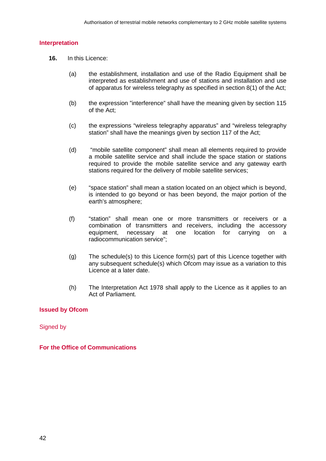## **Interpretation**

- **16.** In this Licence:
	- (a) the establishment, installation and use of the Radio Equipment shall be interpreted as establishment and use of stations and installation and use of apparatus for wireless telegraphy as specified in section 8(1) of the Act;
	- (b) the expression "interference" shall have the meaning given by section 115 of the Act;
	- (c) the expressions "wireless telegraphy apparatus" and "wireless telegraphy station" shall have the meanings given by section 117 of the Act;
	- (d) "mobile satellite component" shall mean all elements required to provide a mobile satellite service and shall include the space station or stations required to provide the mobile satellite service and any gateway earth stations required for the delivery of mobile satellite services;
	- (e) "space station" shall mean a station located on an object which is beyond, is intended to go beyond or has been beyond, the major portion of the earth's atmosphere;
	- (f) "station" shall mean one or more transmitters or receivers or a combination of transmitters and receivers, including the accessory equipment, necessary at one location for carrying on a radiocommunication service";
	- (g) The schedule(s) to this Licence form(s) part of this Licence together with any subsequent schedule(s) which Ofcom may issue as a variation to this Licence at a later date.
	- (h) The Interpretation Act 1978 shall apply to the Licence as it applies to an Act of Parliament.

## **Issued by Ofcom**

Signed by

**For the Office of Communications**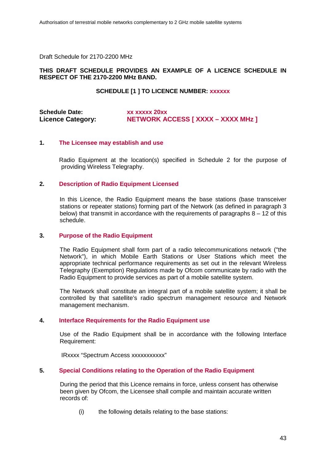Draft Schedule for 2170-2200 MHz

### **THIS DRAFT SCHEDULE PROVIDES AN EXAMPLE OF A LICENCE SCHEDULE IN RESPECT OF THE 2170-2200 MHz BAND.**

### **SCHEDULE [1 ] TO LICENCE NUMBER: xxxxxx**

## **Schedule Date: xx xxxxx 20xx**<br> **Licence Category: NETWORK A Licence Category: NETWORK ACCESS [ XXXX – XXXX MHz ]**

#### **1. The Licensee may establish and use**

Radio Equipment at the location(s) specified in Schedule 2 for the purpose of providing Wireless Telegraphy.

#### **2. Description of Radio Equipment Licensed**

In this Licence, the Radio Equipment means the base stations (base transceiver stations or repeater stations) forming part of the Network (as defined in paragraph 3 below) that transmit in accordance with the requirements of paragraphs  $8 - 12$  of this schedule.

#### **3. Purpose of the Radio Equipment**

The Radio Equipment shall form part of a radio telecommunications network ("the Network"), in which Mobile Earth Stations or User Stations which meet the appropriate technical performance requirements as set out in the relevant Wireless Telegraphy (Exemption) Regulations made by Ofcom communicate by radio with the Radio Equipment to provide services as part of a mobile satellite system.

The Network shall constitute an integral part of a mobile satellite system; it shall be controlled by that satellite's radio spectrum management resource and Network management mechanism.

### **4. Interface Requirements for the Radio Equipment use**

Use of the Radio Equipment shall be in accordance with the following Interface Requirement:

IRxxxx "Spectrum Access xxxxxxxxxxx"

#### **5. Special Conditions relating to the Operation of the Radio Equipment**

During the period that this Licence remains in force, unless consent has otherwise been given by Ofcom, the Licensee shall compile and maintain accurate written records of:

(i) the following details relating to the base stations: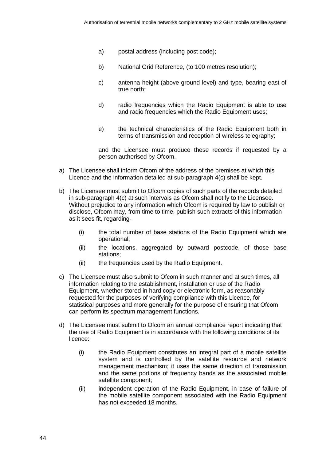- a) postal address (including post code);
- b) National Grid Reference, (to 100 metres resolution);
- c) antenna height (above ground level) and type, bearing east of true north;
- d) radio frequencies which the Radio Equipment is able to use and radio frequencies which the Radio Equipment uses;
- e) the technical characteristics of the Radio Equipment both in terms of transmission and reception of wireless telegraphy;

and the Licensee must produce these records if requested by a person authorised by Ofcom.

- a) The Licensee shall inform Ofcom of the address of the premises at which this Licence and the information detailed at sub-paragraph 4(c) shall be kept.
- b) The Licensee must submit to Ofcom copies of such parts of the records detailed in sub-paragraph 4(c) at such intervals as Ofcom shall notify to the Licensee. Without prejudice to any information which Ofcom is required by law to publish or disclose, Ofcom may, from time to time, publish such extracts of this information as it sees fit, regarding-
	- (i) the total number of base stations of the Radio Equipment which are operational;
	- (ii) the locations, aggregated by outward postcode, of those base stations;
	- (ii) the frequencies used by the Radio Equipment.
- c) The Licensee must also submit to Ofcom in such manner and at such times, all information relating to the establishment, installation or use of the Radio Equipment, whether stored in hard copy or electronic form, as reasonably requested for the purposes of verifying compliance with this Licence, for statistical purposes and more generally for the purpose of ensuring that Ofcom can perform its spectrum management functions.
- d) The Licensee must submit to Ofcom an annual compliance report indicating that the use of Radio Equipment is in accordance with the following conditions of its licence:
	- (i) the Radio Equipment constitutes an integral part of a mobile satellite system and is controlled by the satellite resource and network management mechanism; it uses the same direction of transmission and the same portions of frequency bands as the associated mobile satellite component;
	- (ii) independent operation of the Radio Equipment, in case of failure of the mobile satellite component associated with the Radio Equipment has not exceeded 18 months.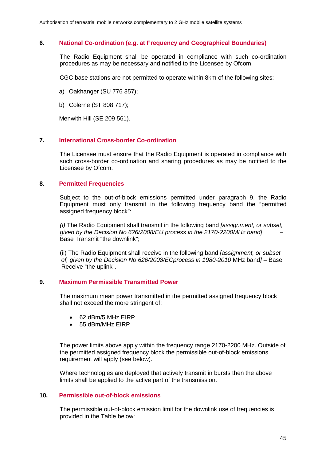#### **6. National Co-ordination (e.g. at Frequency and Geographical Boundaries)**

The Radio Equipment shall be operated in compliance with such co-ordination procedures as may be necessary and notified to the Licensee by Ofcom.

CGC base stations are not permitted to operate within 8km of the following sites:

- a) Oakhanger (SU 776 357);
- b) Colerne (ST 808 717);

Menwith Hill (SE 209 561).

#### **7. International Cross-border Co-ordination**

The Licensee must ensure that the Radio Equipment is operated in compliance with such cross-border co-ordination and sharing procedures as may be notified to the Licensee by Ofcom.

#### **8. Permitted Frequencies**

Subject to the out-of-block emissions permitted under paragraph 9, the Radio Equipment must only transmit in the following frequency band the "permitted assigned frequency block":

*(i)* The Radio Equipment shall transmit in the following band *[assignment, or subset, given by the Decision No 626/2008/EU process in the 2170-2200MHz band]* – Base Transmit "the downlink";

(ii) The Radio Equipment shall receive in the following band *[assignment, or subset of, given by the Decision No 626/2008/ECprocess in 1980-2010* MHz band*]* – Base Receive "the uplink".

## **9. Maximum Permissible Transmitted Power**

The maximum mean power transmitted in the permitted assigned frequency block shall not exceed the more stringent of:

- 62 dBm/5 MHz EIRP
- 55 dBm/MHz EIRP

The power limits above apply within the frequency range 2170-2200 MHz. Outside of the permitted assigned frequency block the permissible out-of-block emissions requirement will apply (see below).

Where technologies are deployed that actively transmit in bursts then the above limits shall be applied to the active part of the transmission.

#### **10. Permissible out-of-block emissions**

The permissible out-of-block emission limit for the downlink use of frequencies is provided in the Table below: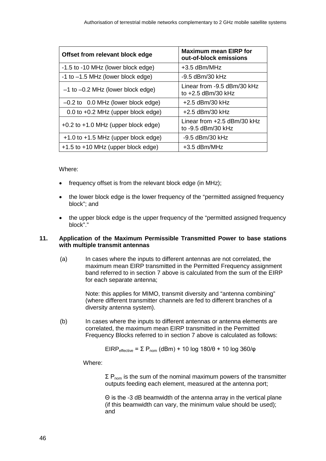| Offset from relevant block edge         | <b>Maximum mean EIRP for</b><br>out-of-block emissions |
|-----------------------------------------|--------------------------------------------------------|
| -1.5 to -10 MHz (lower block edge)      | $+3.5$ dBm/MHz                                         |
| $-1$ to $-1.5$ MHz (lower block edge)   | -9.5 dBm/30 kHz                                        |
| $-1$ to $-0.2$ MHz (lower block edge)   | Linear from -9.5 dBm/30 kHz<br>to $+2.5$ dBm/30 kHz    |
| $-0.2$ to 0.0 MHz (lower block edge)    | $+2.5$ dBm/30 kHz                                      |
| 0.0 to +0.2 MHz (upper block edge)      | $+2.5$ dBm/30 kHz                                      |
| +0.2 to +1.0 MHz (upper block edge)     | Linear from $+2.5$ dBm/30 kHz<br>to -9.5 dBm/30 kHz    |
| $+1.0$ to $+1.5$ MHz (upper block edge) | -9.5 dBm/30 kHz                                        |
| +1.5 to +10 MHz (upper block edge)      | $+3.5$ dBm/MHz                                         |

Where:

- frequency offset is from the relevant block edge (in MHz);
- the lower block edge is the lower frequency of the "permitted assigned frequency block"; and
- the upper block edge is the upper frequency of the "permitted assigned frequency block"."

#### **11. Application of the Maximum Permissible Transmitted Power to base stations with multiple transmit antennas**

(a) In cases where the inputs to different antennas are not correlated, the maximum mean EIRP transmitted in the Permitted Frequency assignment band referred to in section 7 above is calculated from the sum of the EIRP for each separate antenna;

> Note: this applies for MIMO, transmit diversity and "antenna combining" (where different transmitter channels are fed to different branches of a diversity antenna system).

(b) In cases where the inputs to different antennas or antenna elements are correlated, the maximum mean EIRP transmitted in the Permitted Frequency Blocks referred to in section 7 above is calculated as follows:

$$
EIRP_{effective} = \Sigma P_{nom} (dBm) + 10 log 180/\theta + 10 log 360/\phi
$$

Where:

 $\Sigma$  P<sub>nom</sub> is the sum of the nominal maximum powers of the transmitter outputs feeding each element, measured at the antenna port;

Θ is the -3 dB beamwidth of the antenna array in the vertical plane (if this beamwidth can vary, the minimum value should be used); and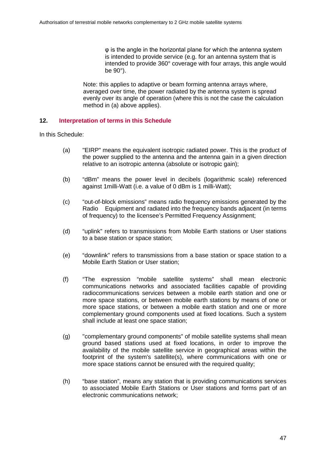φ is the angle in the horizontal plane for which the antenna system is intended to provide service (e.g. for an antenna system that is intended to provide 360° coverage with four arrays, this angle would be 90°).

Note: this applies to adaptive or beam forming antenna arrays where, averaged over time, the power radiated by the antenna system is spread evenly over its angle of operation (where this is not the case the calculation method in (a) above applies).

## **12. Interpretation of terms in this Schedule**

In this Schedule:

- (a) "EIRP" means the equivalent isotropic radiated power. This is the product of the power supplied to the antenna and the antenna gain in a given direction relative to an isotropic antenna (absolute or isotropic gain);
- (b) "dBm" means the power level in decibels (logarithmic scale) referenced against 1milli-Watt (i.e. a value of 0 dBm is 1 milli-Watt);
- (c) "out-of-block emissions" means radio frequency emissions generated by the Radio Equipment and radiated into the frequency bands adjacent (in terms of frequency) to the licensee's Permitted Frequency Assignment;
- (d) "uplink" refers to transmissions from Mobile Earth stations or User stations to a base station or space station;
- (e) "downlink" refers to transmissions from a base station or space station to a Mobile Earth Station or User station;
- (f) "The expression "mobile satellite systems" shall mean electronic communications networks and associated facilities capable of providing radiocommunications services between a mobile earth station and one or more space stations, or between mobile earth stations by means of one or more space stations, or between a mobile earth station and one or more complementary ground components used at fixed locations. Such a system shall include at least one space station;
- (g) "complementary ground components" of mobile satellite systems shall mean ground based stations used at fixed locations, in order to improve the availability of the mobile satellite service in geographical areas within the footprint of the system's satellite(s), where communications with one or more space stations cannot be ensured with the required quality;
- (h) "base station", means any station that is providing communications services to associated Mobile Earth Stations or User stations and forms part of an electronic communications network;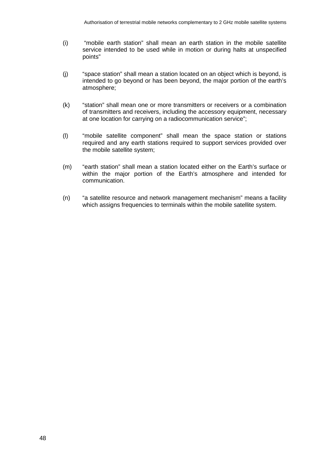- (i) "mobile earth station" shall mean an earth station in the mobile satellite service intended to be used while in motion or during halts at unspecified points"
- (j) "space station" shall mean a station located on an object which is beyond, is intended to go beyond or has been beyond, the major portion of the earth's atmosphere;
- (k) "station" shall mean one or more transmitters or receivers or a combination of transmitters and receivers, including the accessory equipment, necessary at one location for carrying on a radiocommunication service";
- (l) "mobile satellite component" shall mean the space station or stations required and any earth stations required to support services provided over the mobile satellite system;
- (m) "earth station" shall mean a station located either on the Earth's surface or within the major portion of the Earth's atmosphere and intended for communication.
- (n) "a satellite resource and network management mechanism" means a facility which assigns frequencies to terminals within the mobile satellite system.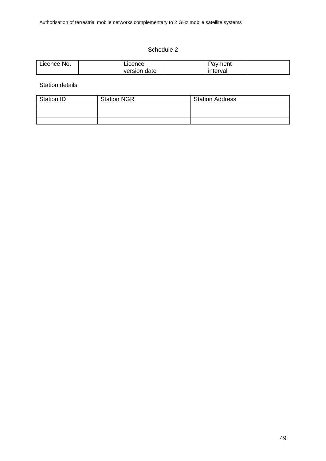## Schedule 2

| ≧No.<br>_icence_ | ucence.         | 'avment  |  |
|------------------|-----------------|----------|--|
|                  | date<br>version | interval |  |

Station details

| <b>Station ID</b> | <b>Station NGR</b> | <b>Station Address</b> |
|-------------------|--------------------|------------------------|
|                   |                    |                        |
|                   |                    |                        |
|                   |                    |                        |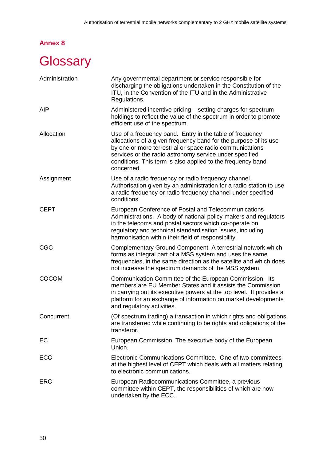# **Annex 8**

# <span id="page-53-0"></span>**Glossary**

| Administration | Any governmental department or service responsible for<br>discharging the obligations undertaken in the Constitution of the<br>ITU, in the Convention of the ITU and in the Administrative<br>Regulations.                                                                                                                       |
|----------------|----------------------------------------------------------------------------------------------------------------------------------------------------------------------------------------------------------------------------------------------------------------------------------------------------------------------------------|
| <b>AIP</b>     | Administered incentive pricing - setting charges for spectrum<br>holdings to reflect the value of the spectrum in order to promote<br>efficient use of the spectrum.                                                                                                                                                             |
| Allocation     | Use of a frequency band. Entry in the table of frequency<br>allocations of a given frequency band for the purpose of its use<br>by one or more terrestrial or space radio communications<br>services or the radio astronomy service under specified<br>conditions. This term is also applied to the frequency band<br>concerned. |
| Assignment     | Use of a radio frequency or radio frequency channel.<br>Authorisation given by an administration for a radio station to use<br>a radio frequency or radio frequency channel under specified<br>conditions.                                                                                                                       |
| <b>CEPT</b>    | European Conference of Postal and Telecommunications<br>Administrations. A body of national policy-makers and regulators<br>in the telecoms and postal sectors which co-operate on<br>regulatory and technical standardisation issues, including<br>harmonisation within their field of responsibility.                          |
| CGC            | Complementary Ground Component. A terrestrial network which<br>forms as integral part of a MSS system and uses the same<br>frequencies, in the same direction as the satellite and which does<br>not increase the spectrum demands of the MSS system.                                                                            |
| <b>COCOM</b>   | Communication Committee of the European Commission. Its<br>members are EU Member States and it assists the Commission<br>in carrying out its executive powers at the top level. It provides a<br>platform for an exchange of information on market developments<br>and regulatory activities.                                    |
| Concurrent     | (Of spectrum trading) a transaction in which rights and obligations<br>are transferred while continuing to be rights and obligations of the<br>transferor.                                                                                                                                                                       |
| EС             | European Commission. The executive body of the European<br>Union.                                                                                                                                                                                                                                                                |
| ECC            | Electronic Communications Committee. One of two committees<br>at the highest level of CEPT which deals with all matters relating<br>to electronic communications.                                                                                                                                                                |
| <b>ERC</b>     | European Radiocommunications Committee, a previous<br>committee within CEPT, the responsibilities of which are now<br>undertaken by the ECC.                                                                                                                                                                                     |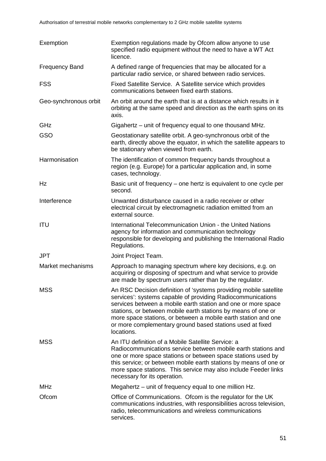| Exemption             | Exemption regulations made by Ofcom allow anyone to use<br>specified radio equipment without the need to have a WT Act<br>licence.                                                                                                                                                                                                                                                                              |
|-----------------------|-----------------------------------------------------------------------------------------------------------------------------------------------------------------------------------------------------------------------------------------------------------------------------------------------------------------------------------------------------------------------------------------------------------------|
| <b>Frequency Band</b> | A defined range of frequencies that may be allocated for a<br>particular radio service, or shared between radio services.                                                                                                                                                                                                                                                                                       |
| <b>FSS</b>            | Fixed Satellite Service. A Satellite service which provides<br>communications between fixed earth stations.                                                                                                                                                                                                                                                                                                     |
| Geo-synchronous orbit | An orbit around the earth that is at a distance which results in it<br>orbiting at the same speed and direction as the earth spins on its<br>axis.                                                                                                                                                                                                                                                              |
| GHz                   | Gigahertz – unit of frequency equal to one thousand MHz.                                                                                                                                                                                                                                                                                                                                                        |
| GSO                   | Geostationary satellite orbit. A geo-synchronous orbit of the<br>earth, directly above the equator, in which the satellite appears to<br>be stationary when viewed from earth.                                                                                                                                                                                                                                  |
| Harmonisation         | The identification of common frequency bands throughout a<br>region (e.g. Europe) for a particular application and, in some<br>cases, technology.                                                                                                                                                                                                                                                               |
| Hz                    | Basic unit of frequency – one hertz is equivalent to one cycle per<br>second.                                                                                                                                                                                                                                                                                                                                   |
| Interference          | Unwanted disturbance caused in a radio receiver or other<br>electrical circuit by electromagnetic radiation emitted from an<br>external source.                                                                                                                                                                                                                                                                 |
| <b>ITU</b>            | International Telecommunication Union - the United Nations<br>agency for information and communication technology<br>responsible for developing and publishing the International Radio<br>Regulations.                                                                                                                                                                                                          |
| <b>JPT</b>            | Joint Project Team.                                                                                                                                                                                                                                                                                                                                                                                             |
| Market mechanisms     | Approach to managing spectrum where key decisions, e.g. on<br>acquiring or disposing of spectrum and what service to provide<br>are made by spectrum users rather than by the regulator.                                                                                                                                                                                                                        |
| <b>MSS</b>            | An RSC Decision definition of 'systems providing mobile satellite<br>services': systems capable of providing Radiocommunications<br>services between a mobile earth station and one or more space<br>stations, or between mobile earth stations by means of one or<br>more space stations, or between a mobile earth station and one<br>or more complementary ground based stations used at fixed<br>locations. |
| <b>MSS</b>            | An ITU definition of a Mobile Satellite Service: a<br>Radiocommunications service between mobile earth stations and<br>one or more space stations or between space stations used by<br>this service; or between mobile earth stations by means of one or<br>more space stations. This service may also include Feeder links<br>necessary for its operation.                                                     |
| <b>MHz</b>            | Megahertz – unit of frequency equal to one million Hz.                                                                                                                                                                                                                                                                                                                                                          |
| Ofcom                 | Office of Communications. Of com is the regulator for the UK<br>communications industries, with responsibilities across television,<br>radio, telecommunications and wireless communications<br>services.                                                                                                                                                                                                       |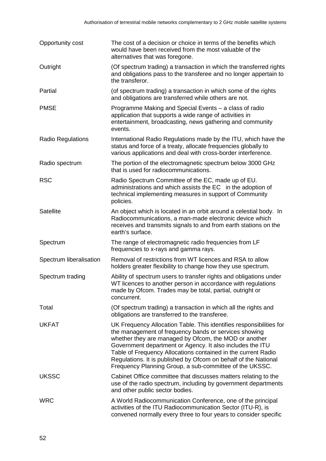| Opportunity cost         | The cost of a decision or choice in terms of the benefits which<br>would have been received from the most valuable of the<br>alternatives that was foregone.                                                                                                                                                                                                                                                                                      |
|--------------------------|---------------------------------------------------------------------------------------------------------------------------------------------------------------------------------------------------------------------------------------------------------------------------------------------------------------------------------------------------------------------------------------------------------------------------------------------------|
| Outright                 | (Of spectrum trading) a transaction in which the transferred rights<br>and obligations pass to the transferee and no longer appertain to<br>the transferor.                                                                                                                                                                                                                                                                                       |
| Partial                  | (of spectrum trading) a transaction in which some of the rights<br>and obligations are transferred while others are not.                                                                                                                                                                                                                                                                                                                          |
| <b>PMSE</b>              | Programme Making and Special Events – a class of radio<br>application that supports a wide range of activities in<br>entertainment, broadcasting, news gathering and community<br>events.                                                                                                                                                                                                                                                         |
| <b>Radio Regulations</b> | International Radio Regulations made by the ITU, which have the<br>status and force of a treaty, allocate frequencies globally to<br>various applications and deal with cross-border interference.                                                                                                                                                                                                                                                |
| Radio spectrum           | The portion of the electromagnetic spectrum below 3000 GHz<br>that is used for radiocommunications.                                                                                                                                                                                                                                                                                                                                               |
| <b>RSC</b>               | Radio Spectrum Committee of the EC, made up of EU.<br>administrations and which assists the EC in the adoption of<br>technical implementing measures in support of Community<br>policies.                                                                                                                                                                                                                                                         |
| <b>Satellite</b>         | An object which is located in an orbit around a celestial body. In<br>Radiocommunications, a man-made electronic device which<br>receives and transmits signals to and from earth stations on the<br>earth's surface.                                                                                                                                                                                                                             |
| Spectrum                 | The range of electromagnetic radio frequencies from LF<br>frequencies to x-rays and gamma rays.                                                                                                                                                                                                                                                                                                                                                   |
| Spectrum liberalisation  | Removal of restrictions from WT licences and RSA to allow<br>holders greater flexibility to change how they use spectrum.                                                                                                                                                                                                                                                                                                                         |
| Spectrum trading         | Ability of spectrum users to transfer rights and obligations under<br>WT licences to another person in accordance with regulations<br>made by Ofcom. Trades may be total, partial, outright or<br>concurrent.                                                                                                                                                                                                                                     |
| Total                    | (Of spectrum trading) a transaction in which all the rights and<br>obligations are transferred to the transferee.                                                                                                                                                                                                                                                                                                                                 |
| <b>UKFAT</b>             | UK Frequency Allocation Table. This identifies responsibilities for<br>the management of frequency bands or services showing<br>whether they are managed by Ofcom, the MOD or another<br>Government department or Agency. It also includes the ITU<br>Table of Frequency Allocations contained in the current Radio<br>Regulations. It is published by Ofcom on behalf of the National<br>Frequency Planning Group, a sub-committee of the UKSSC. |
| <b>UKSSC</b>             | Cabinet Office committee that discusses matters relating to the<br>use of the radio spectrum, including by government departments<br>and other public sector bodies.                                                                                                                                                                                                                                                                              |
| <b>WRC</b>               | A World Radiocommunication Conference, one of the principal<br>activities of the ITU Radiocommunication Sector (ITU-R), is<br>convened normally every three to four years to consider specific                                                                                                                                                                                                                                                    |